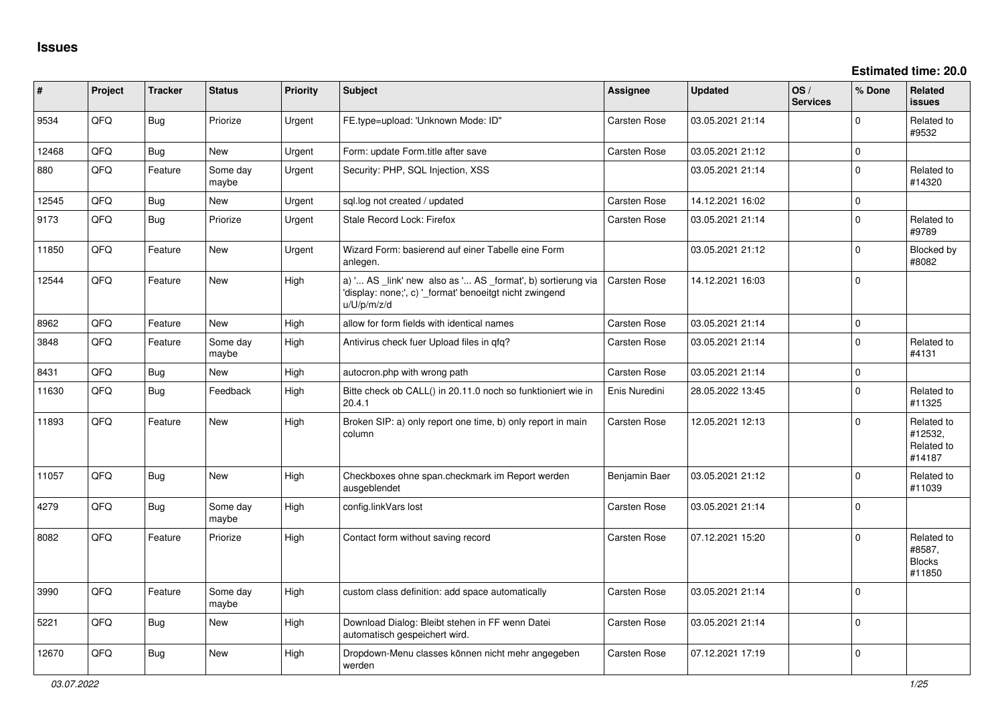| #     | Project | <b>Tracker</b> | <b>Status</b>     | <b>Priority</b> | <b>Subject</b>                                                                                                                        | <b>Assignee</b>     | <b>Updated</b>   | OS/<br><b>Services</b> | % Done      | Related<br><b>issues</b>                        |
|-------|---------|----------------|-------------------|-----------------|---------------------------------------------------------------------------------------------------------------------------------------|---------------------|------------------|------------------------|-------------|-------------------------------------------------|
| 9534  | QFQ     | <b>Bug</b>     | Priorize          | Urgent          | FE.type=upload: 'Unknown Mode: ID"                                                                                                    | <b>Carsten Rose</b> | 03.05.2021 21:14 |                        | $\Omega$    | Related to<br>#9532                             |
| 12468 | QFQ     | <b>Bug</b>     | New               | Urgent          | Form: update Form.title after save                                                                                                    | <b>Carsten Rose</b> | 03.05.2021 21:12 |                        | $\mathbf 0$ |                                                 |
| 880   | QFQ     | Feature        | Some day<br>maybe | Urgent          | Security: PHP, SQL Injection, XSS                                                                                                     |                     | 03.05.2021 21:14 |                        | $\mathbf 0$ | Related to<br>#14320                            |
| 12545 | QFQ     | Bug            | New               | Urgent          | sql.log not created / updated                                                                                                         | <b>Carsten Rose</b> | 14.12.2021 16:02 |                        | $\mathbf 0$ |                                                 |
| 9173  | QFQ     | <b>Bug</b>     | Priorize          | Urgent          | Stale Record Lock: Firefox                                                                                                            | <b>Carsten Rose</b> | 03.05.2021 21:14 |                        | $\Omega$    | Related to<br>#9789                             |
| 11850 | QFQ     | Feature        | <b>New</b>        | Urgent          | Wizard Form: basierend auf einer Tabelle eine Form<br>anlegen.                                                                        |                     | 03.05.2021 21:12 |                        | $\Omega$    | Blocked by<br>#8082                             |
| 12544 | QFQ     | Feature        | New               | High            | a) ' AS _link' new also as ' AS _format', b) sortierung via<br>'display: none;', c) '_format' benoeitgt nicht zwingend<br>u/U/p/m/z/d | <b>Carsten Rose</b> | 14.12.2021 16:03 |                        | $\mathbf 0$ |                                                 |
| 8962  | QFQ     | Feature        | <b>New</b>        | High            | allow for form fields with identical names                                                                                            | <b>Carsten Rose</b> | 03.05.2021 21:14 |                        | $\mathbf 0$ |                                                 |
| 3848  | QFQ     | Feature        | Some day<br>maybe | High            | Antivirus check fuer Upload files in qfq?                                                                                             | <b>Carsten Rose</b> | 03.05.2021 21:14 |                        | $\Omega$    | Related to<br>#4131                             |
| 8431  | QFQ     | <b>Bug</b>     | <b>New</b>        | High            | autocron.php with wrong path                                                                                                          | <b>Carsten Rose</b> | 03.05.2021 21:14 |                        | $\mathbf 0$ |                                                 |
| 11630 | QFQ     | Bug            | Feedback          | High            | Bitte check ob CALL() in 20.11.0 noch so funktioniert wie in<br>20.4.1                                                                | Enis Nuredini       | 28.05.2022 13:45 |                        | $\Omega$    | Related to<br>#11325                            |
| 11893 | QFQ     | Feature        | <b>New</b>        | High            | Broken SIP: a) only report one time, b) only report in main<br>column                                                                 | <b>Carsten Rose</b> | 12.05.2021 12:13 |                        | $\Omega$    | Related to<br>#12532,<br>Related to<br>#14187   |
| 11057 | QFQ     | <b>Bug</b>     | New               | High            | Checkboxes ohne span.checkmark im Report werden<br>ausgeblendet                                                                       | Benjamin Baer       | 03.05.2021 21:12 |                        | $\Omega$    | Related to<br>#11039                            |
| 4279  | QFQ     | Bug            | Some day<br>maybe | High            | config.linkVars lost                                                                                                                  | <b>Carsten Rose</b> | 03.05.2021 21:14 |                        | $\Omega$    |                                                 |
| 8082  | QFQ     | Feature        | Priorize          | High            | Contact form without saving record                                                                                                    | <b>Carsten Rose</b> | 07.12.2021 15:20 |                        | $\mathbf 0$ | Related to<br>#8587,<br><b>Blocks</b><br>#11850 |
| 3990  | QFQ     | Feature        | Some day<br>maybe | High            | custom class definition: add space automatically                                                                                      | <b>Carsten Rose</b> | 03.05.2021 21:14 |                        | $\mathbf 0$ |                                                 |
| 5221  | QFQ     | Bug            | New               | High            | Download Dialog: Bleibt stehen in FF wenn Datei<br>automatisch gespeichert wird.                                                      | <b>Carsten Rose</b> | 03.05.2021 21:14 |                        | $\Omega$    |                                                 |
| 12670 | QFQ     | Bug            | <b>New</b>        | High            | Dropdown-Menu classes können nicht mehr angegeben<br>werden                                                                           | <b>Carsten Rose</b> | 07.12.2021 17:19 |                        | $\Omega$    |                                                 |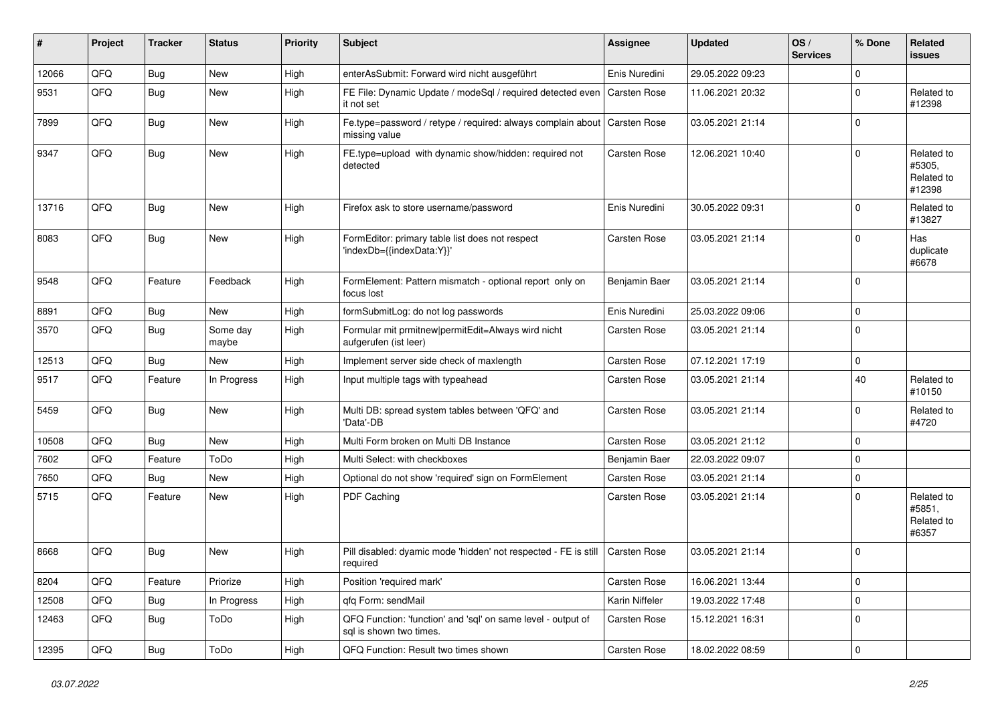| #     | Project | <b>Tracker</b> | <b>Status</b>     | <b>Priority</b> | Subject                                                                                 | <b>Assignee</b>     | <b>Updated</b>   | OS/<br><b>Services</b> | % Done      | Related<br>issues                            |
|-------|---------|----------------|-------------------|-----------------|-----------------------------------------------------------------------------------------|---------------------|------------------|------------------------|-------------|----------------------------------------------|
| 12066 | QFQ     | Bug            | New               | High            | enterAsSubmit: Forward wird nicht ausgeführt                                            | Enis Nuredini       | 29.05.2022 09:23 |                        | $\mathbf 0$ |                                              |
| 9531  | QFQ     | Bug            | New               | High            | FE File: Dynamic Update / modeSql / required detected even<br>it not set                | Carsten Rose        | 11.06.2021 20:32 |                        | $\mathbf 0$ | Related to<br>#12398                         |
| 7899  | QFQ     | Bug            | New               | High            | Fe.type=password / retype / required: always complain about<br>missing value            | <b>Carsten Rose</b> | 03.05.2021 21:14 |                        | $\mathbf 0$ |                                              |
| 9347  | QFQ     | Bug            | New               | High            | FE.type=upload with dynamic show/hidden: required not<br>detected                       | Carsten Rose        | 12.06.2021 10:40 |                        | $\mathbf 0$ | Related to<br>#5305,<br>Related to<br>#12398 |
| 13716 | QFQ     | Bug            | New               | High            | Firefox ask to store username/password                                                  | Enis Nuredini       | 30.05.2022 09:31 |                        | $\mathbf 0$ | Related to<br>#13827                         |
| 8083  | QFQ     | Bug            | New               | High            | FormEditor: primary table list does not respect<br>'indexDb={{indexData:Y}}'            | Carsten Rose        | 03.05.2021 21:14 |                        | $\mathbf 0$ | Has<br>duplicate<br>#6678                    |
| 9548  | QFQ     | Feature        | Feedback          | High            | FormElement: Pattern mismatch - optional report only on<br>focus lost                   | Benjamin Baer       | 03.05.2021 21:14 |                        | $\mathbf 0$ |                                              |
| 8891  | QFQ     | Bug            | New               | High            | formSubmitLog: do not log passwords                                                     | Enis Nuredini       | 25.03.2022 09:06 |                        | $\mathbf 0$ |                                              |
| 3570  | QFQ     | Bug            | Some day<br>maybe | High            | Formular mit prmitnew permitEdit=Always wird nicht<br>aufgerufen (ist leer)             | Carsten Rose        | 03.05.2021 21:14 |                        | $\mathbf 0$ |                                              |
| 12513 | QFQ     | Bug            | New               | High            | Implement server side check of maxlength                                                | Carsten Rose        | 07.12.2021 17:19 |                        | $\pmb{0}$   |                                              |
| 9517  | QFQ     | Feature        | In Progress       | High            | Input multiple tags with typeahead                                                      | Carsten Rose        | 03.05.2021 21:14 |                        | 40          | Related to<br>#10150                         |
| 5459  | QFQ     | Bug            | <b>New</b>        | High            | Multi DB: spread system tables between 'QFQ' and<br>'Data'-DB                           | Carsten Rose        | 03.05.2021 21:14 |                        | $\mathbf 0$ | Related to<br>#4720                          |
| 10508 | QFQ     | Bug            | New               | High            | Multi Form broken on Multi DB Instance                                                  | Carsten Rose        | 03.05.2021 21:12 |                        | $\mathbf 0$ |                                              |
| 7602  | QFQ     | Feature        | ToDo              | High            | Multi Select: with checkboxes                                                           | Benjamin Baer       | 22.03.2022 09:07 |                        | $\mathbf 0$ |                                              |
| 7650  | QFQ     | Bug            | New               | High            | Optional do not show 'required' sign on FormElement                                     | Carsten Rose        | 03.05.2021 21:14 |                        | $\mathbf 0$ |                                              |
| 5715  | QFQ     | Feature        | New               | High            | PDF Caching                                                                             | Carsten Rose        | 03.05.2021 21:14 |                        | $\mathbf 0$ | Related to<br>#5851,<br>Related to<br>#6357  |
| 8668  | QFQ     | Bug            | New               | High            | Pill disabled: dyamic mode 'hidden' not respected - FE is still<br>required             | Carsten Rose        | 03.05.2021 21:14 |                        | $\mathbf 0$ |                                              |
| 8204  | QFQ     | Feature        | Priorize          | High            | Position 'required mark'                                                                | Carsten Rose        | 16.06.2021 13:44 |                        | $\mathbf 0$ |                                              |
| 12508 | QFQ     | Bug            | In Progress       | High            | gfg Form: sendMail                                                                      | Karin Niffeler      | 19.03.2022 17:48 |                        | $\mathbf 0$ |                                              |
| 12463 | QFQ     | <b>Bug</b>     | ToDo              | High            | QFQ Function: 'function' and 'sql' on same level - output of<br>sql is shown two times. | Carsten Rose        | 15.12.2021 16:31 |                        | $\mathbf 0$ |                                              |
| 12395 | QFQ     | <b>Bug</b>     | ToDo              | High            | QFQ Function: Result two times shown                                                    | Carsten Rose        | 18.02.2022 08:59 |                        | $\mathsf 0$ |                                              |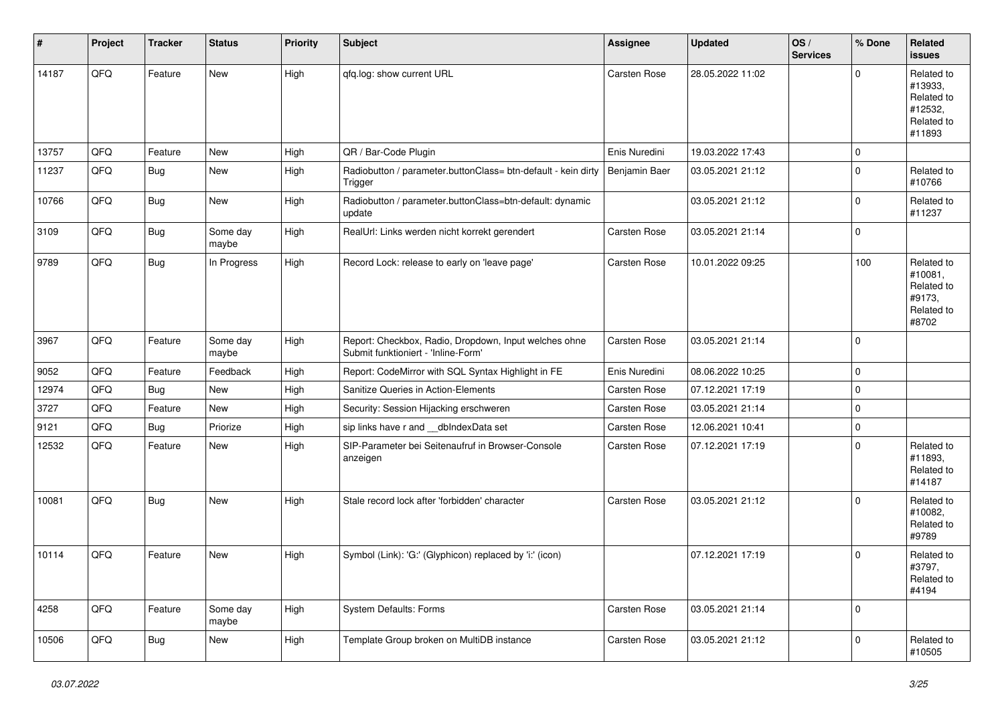| #     | Project | <b>Tracker</b> | <b>Status</b>     | <b>Priority</b> | <b>Subject</b>                                                                               | Assignee            | <b>Updated</b>   | OS/<br><b>Services</b> | % Done      | Related<br><b>issues</b>                                               |
|-------|---------|----------------|-------------------|-----------------|----------------------------------------------------------------------------------------------|---------------------|------------------|------------------------|-------------|------------------------------------------------------------------------|
| 14187 | QFQ     | Feature        | <b>New</b>        | High            | qfq.log: show current URL                                                                    | Carsten Rose        | 28.05.2022 11:02 |                        | $\mathbf 0$ | Related to<br>#13933,<br>Related to<br>#12532,<br>Related to<br>#11893 |
| 13757 | QFQ     | Feature        | New               | High            | QR / Bar-Code Plugin                                                                         | Enis Nuredini       | 19.03.2022 17:43 |                        | $\mathbf 0$ |                                                                        |
| 11237 | QFQ     | Bug            | New               | High            | Radiobutton / parameter.buttonClass= btn-default - kein dirty<br>Trigger                     | Benjamin Baer       | 03.05.2021 21:12 |                        | $\mathbf 0$ | Related to<br>#10766                                                   |
| 10766 | QFQ     | <b>Bug</b>     | New               | High            | Radiobutton / parameter.buttonClass=btn-default: dynamic<br>update                           |                     | 03.05.2021 21:12 |                        | $\mathbf 0$ | Related to<br>#11237                                                   |
| 3109  | QFQ     | Bug            | Some day<br>maybe | High            | RealUrl: Links werden nicht korrekt gerendert                                                | Carsten Rose        | 03.05.2021 21:14 |                        | $\pmb{0}$   |                                                                        |
| 9789  | QFQ     | <b>Bug</b>     | In Progress       | High            | Record Lock: release to early on 'leave page'                                                | <b>Carsten Rose</b> | 10.01.2022 09:25 |                        | 100         | Related to<br>#10081,<br>Related to<br>#9173,<br>Related to<br>#8702   |
| 3967  | QFQ     | Feature        | Some day<br>maybe | High            | Report: Checkbox, Radio, Dropdown, Input welches ohne<br>Submit funktioniert - 'Inline-Form' | Carsten Rose        | 03.05.2021 21:14 |                        | $\mathbf 0$ |                                                                        |
| 9052  | QFQ     | Feature        | Feedback          | High            | Report: CodeMirror with SQL Syntax Highlight in FE                                           | Enis Nuredini       | 08.06.2022 10:25 |                        | $\mathbf 0$ |                                                                        |
| 12974 | QFQ     | Bug            | New               | High            | Sanitize Queries in Action-Elements                                                          | Carsten Rose        | 07.12.2021 17:19 |                        | $\pmb{0}$   |                                                                        |
| 3727  | QFQ     | Feature        | <b>New</b>        | High            | Security: Session Hijacking erschweren                                                       | Carsten Rose        | 03.05.2021 21:14 |                        | $\mathbf 0$ |                                                                        |
| 9121  | QFQ     | Bug            | Priorize          | High            | sip links have r and __dbIndexData set                                                       | Carsten Rose        | 12.06.2021 10:41 |                        | $\mathbf 0$ |                                                                        |
| 12532 | QFQ     | Feature        | New               | High            | SIP-Parameter bei Seitenaufruf in Browser-Console<br>anzeigen                                | Carsten Rose        | 07.12.2021 17:19 |                        | $\mathbf 0$ | Related to<br>#11893,<br>Related to<br>#14187                          |
| 10081 | QFQ     | Bug            | New               | High            | Stale record lock after 'forbidden' character                                                | <b>Carsten Rose</b> | 03.05.2021 21:12 |                        | 0           | Related to<br>#10082,<br>Related to<br>#9789                           |
| 10114 | QFQ     | Feature        | New               | High            | Symbol (Link): 'G:' (Glyphicon) replaced by 'i:' (icon)                                      |                     | 07.12.2021 17:19 |                        | $\mathbf 0$ | Related to<br>#3797,<br>Related to<br>#4194                            |
| 4258  | QFG     | Feature        | Some day<br>maybe | High            | <b>System Defaults: Forms</b>                                                                | Carsten Rose        | 03.05.2021 21:14 |                        | $\pmb{0}$   |                                                                        |
| 10506 | QFQ     | Bug            | New               | High            | Template Group broken on MultiDB instance                                                    | Carsten Rose        | 03.05.2021 21:12 |                        | $\mathbf 0$ | Related to<br>#10505                                                   |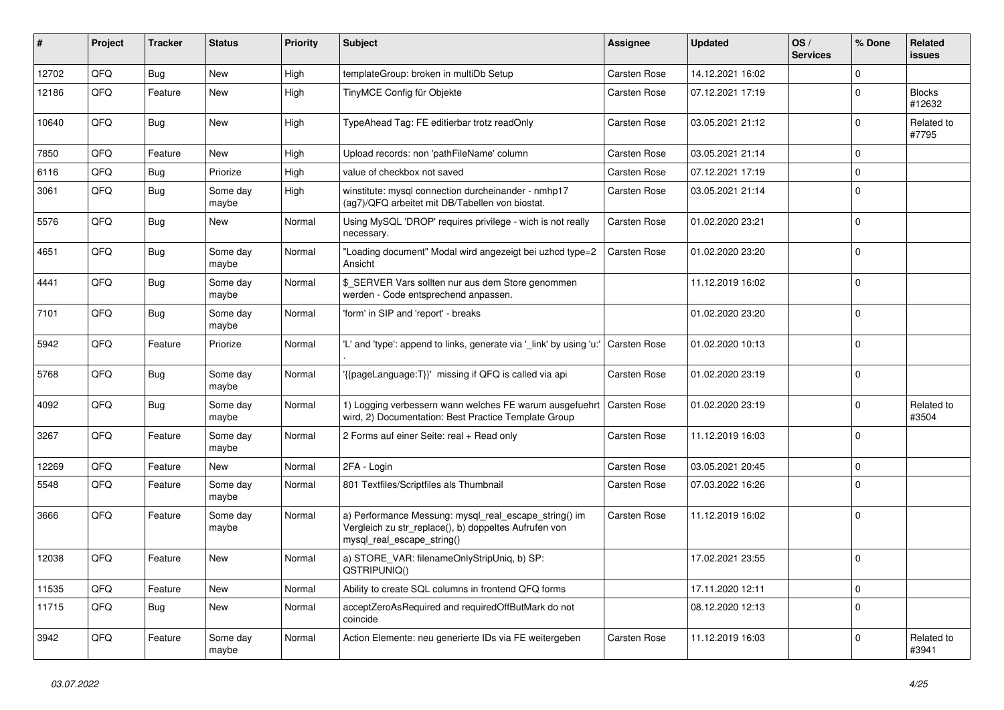| ∦     | Project | <b>Tracker</b> | <b>Status</b>     | <b>Priority</b> | <b>Subject</b>                                                                                                                               | <b>Assignee</b>     | <b>Updated</b>   | OS/<br><b>Services</b> | % Done      | Related<br>issues       |
|-------|---------|----------------|-------------------|-----------------|----------------------------------------------------------------------------------------------------------------------------------------------|---------------------|------------------|------------------------|-------------|-------------------------|
| 12702 | QFQ     | Bug            | New               | High            | templateGroup: broken in multiDb Setup                                                                                                       | <b>Carsten Rose</b> | 14.12.2021 16:02 |                        | $\mathbf 0$ |                         |
| 12186 | QFQ     | Feature        | <b>New</b>        | High            | TinyMCE Config für Objekte                                                                                                                   | Carsten Rose        | 07.12.2021 17:19 |                        | 0           | <b>Blocks</b><br>#12632 |
| 10640 | QFQ     | Bug            | New               | High            | TypeAhead Tag: FE editierbar trotz readOnly                                                                                                  | Carsten Rose        | 03.05.2021 21:12 |                        | $\mathbf 0$ | Related to<br>#7795     |
| 7850  | QFQ     | Feature        | <b>New</b>        | High            | Upload records: non 'pathFileName' column                                                                                                    | Carsten Rose        | 03.05.2021 21:14 |                        | $\mathbf 0$ |                         |
| 6116  | QFQ     | <b>Bug</b>     | Priorize          | High            | value of checkbox not saved                                                                                                                  | Carsten Rose        | 07.12.2021 17:19 |                        | $\mathbf 0$ |                         |
| 3061  | QFQ     | Bug            | Some day<br>maybe | High            | winstitute: mysql connection durcheinander - nmhp17<br>(ag7)/QFQ arbeitet mit DB/Tabellen von biostat.                                       | Carsten Rose        | 03.05.2021 21:14 |                        | $\mathbf 0$ |                         |
| 5576  | QFQ     | Bug            | <b>New</b>        | Normal          | Using MySQL 'DROP' requires privilege - wich is not really<br>necessary.                                                                     | Carsten Rose        | 01.02.2020 23:21 |                        | $\mathbf 0$ |                         |
| 4651  | QFQ     | Bug            | Some day<br>maybe | Normal          | "Loading document" Modal wird angezeigt bei uzhcd type=2<br>Ansicht                                                                          | Carsten Rose        | 01.02.2020 23:20 |                        | $\mathbf 0$ |                         |
| 4441  | QFQ     | Bug            | Some day<br>maybe | Normal          | \$ SERVER Vars sollten nur aus dem Store genommen<br>werden - Code entsprechend anpassen.                                                    |                     | 11.12.2019 16:02 |                        | $\mathbf 0$ |                         |
| 7101  | QFQ     | <b>Bug</b>     | Some day<br>maybe | Normal          | 'form' in SIP and 'report' - breaks                                                                                                          |                     | 01.02.2020 23:20 |                        | $\mathbf 0$ |                         |
| 5942  | QFQ     | Feature        | Priorize          | Normal          | "L' and 'type': append to links, generate via 'link' by using 'u:"                                                                           | Carsten Rose        | 01.02.2020 10:13 |                        | $\mathbf 0$ |                         |
| 5768  | QFQ     | Bug            | Some day<br>maybe | Normal          | {{pageLanguage:T}}' missing if QFQ is called via api                                                                                         | Carsten Rose        | 01.02.2020 23:19 |                        | $\mathbf 0$ |                         |
| 4092  | QFQ     | Bug            | Some day<br>maybe | Normal          | 1) Logging verbessern wann welches FE warum ausgefuehrt<br>wird, 2) Documentation: Best Practice Template Group                              | <b>Carsten Rose</b> | 01.02.2020 23:19 |                        | $\mathbf 0$ | Related to<br>#3504     |
| 3267  | QFQ     | Feature        | Some day<br>maybe | Normal          | 2 Forms auf einer Seite: real + Read only                                                                                                    | Carsten Rose        | 11.12.2019 16:03 |                        | $\mathbf 0$ |                         |
| 12269 | QFQ     | Feature        | New               | Normal          | 2FA - Login                                                                                                                                  | Carsten Rose        | 03.05.2021 20:45 |                        | $\pmb{0}$   |                         |
| 5548  | QFQ     | Feature        | Some day<br>maybe | Normal          | 801 Textfiles/Scriptfiles als Thumbnail                                                                                                      | Carsten Rose        | 07.03.2022 16:26 |                        | $\mathbf 0$ |                         |
| 3666  | QFQ     | Feature        | Some day<br>maybe | Normal          | a) Performance Messung: mysql_real_escape_string() im<br>Vergleich zu str_replace(), b) doppeltes Aufrufen von<br>mysql real escape string() | Carsten Rose        | 11.12.2019 16:02 |                        | $\mathbf 0$ |                         |
| 12038 | QFQ     | Feature        | <b>New</b>        | Normal          | a) STORE_VAR: filenameOnlyStripUniq, b) SP:<br>QSTRIPUNIQ()                                                                                  |                     | 17.02.2021 23:55 |                        | $\mathbf 0$ |                         |
| 11535 | QFQ     | Feature        | New               | Normal          | Ability to create SQL columns in frontend QFQ forms                                                                                          |                     | 17.11.2020 12:11 |                        | $\mathsf 0$ |                         |
| 11715 | QFQ     | <b>Bug</b>     | New               | Normal          | acceptZeroAsRequired and requiredOffButMark do not<br>coincide                                                                               |                     | 08.12.2020 12:13 |                        | $\pmb{0}$   |                         |
| 3942  | QFG     | Feature        | Some day<br>maybe | Normal          | Action Elemente: neu generierte IDs via FE weitergeben                                                                                       | Carsten Rose        | 11.12.2019 16:03 |                        | $\mathbf 0$ | Related to<br>#3941     |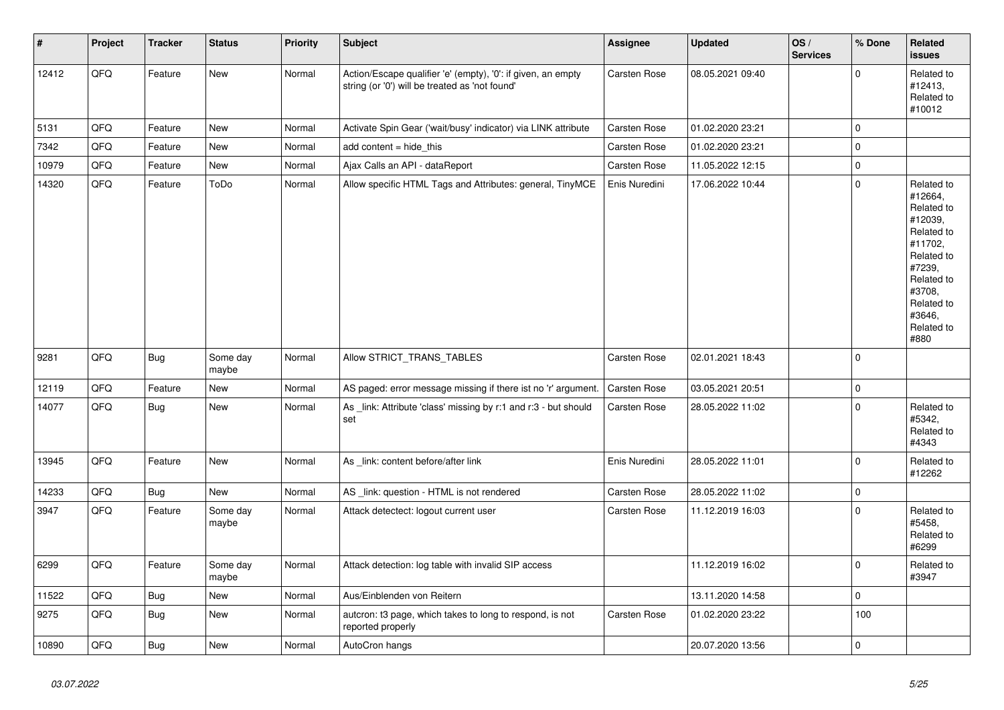| $\vert$ # | Project | <b>Tracker</b> | <b>Status</b>     | <b>Priority</b> | Subject                                                                                                        | <b>Assignee</b>     | <b>Updated</b>   | OS/<br><b>Services</b> | % Done      | Related<br><b>issues</b>                                                                                                                                              |
|-----------|---------|----------------|-------------------|-----------------|----------------------------------------------------------------------------------------------------------------|---------------------|------------------|------------------------|-------------|-----------------------------------------------------------------------------------------------------------------------------------------------------------------------|
| 12412     | QFQ     | Feature        | New               | Normal          | Action/Escape qualifier 'e' (empty), '0': if given, an empty<br>string (or '0') will be treated as 'not found' | <b>Carsten Rose</b> | 08.05.2021 09:40 |                        | $\pmb{0}$   | Related to<br>#12413,<br>Related to<br>#10012                                                                                                                         |
| 5131      | QFQ     | Feature        | <b>New</b>        | Normal          | Activate Spin Gear ('wait/busy' indicator) via LINK attribute                                                  | Carsten Rose        | 01.02.2020 23:21 |                        | $\pmb{0}$   |                                                                                                                                                                       |
| 7342      | QFQ     | Feature        | <b>New</b>        | Normal          | add content $=$ hide this                                                                                      | <b>Carsten Rose</b> | 01.02.2020 23:21 |                        | $\pmb{0}$   |                                                                                                                                                                       |
| 10979     | QFQ     | Feature        | New               | Normal          | Ajax Calls an API - dataReport                                                                                 | Carsten Rose        | 11.05.2022 12:15 |                        | $\pmb{0}$   |                                                                                                                                                                       |
| 14320     | QFQ     | Feature        | ToDo              | Normal          | Allow specific HTML Tags and Attributes: general, TinyMCE                                                      | Enis Nuredini       | 17.06.2022 10:44 |                        | $\mathbf 0$ | Related to<br>#12664,<br>Related to<br>#12039,<br>Related to<br>#11702,<br>Related to<br>#7239,<br>Related to<br>#3708,<br>Related to<br>#3646,<br>Related to<br>#880 |
| 9281      | QFQ     | Bug            | Some day<br>maybe | Normal          | Allow STRICT_TRANS_TABLES                                                                                      | Carsten Rose        | 02.01.2021 18:43 |                        | $\mathbf 0$ |                                                                                                                                                                       |
| 12119     | QFQ     | Feature        | <b>New</b>        | Normal          | AS paged: error message missing if there ist no 'r' argument.                                                  | Carsten Rose        | 03.05.2021 20:51 |                        | $\mathbf 0$ |                                                                                                                                                                       |
| 14077     | QFQ     | Bug            | <b>New</b>        | Normal          | As link: Attribute 'class' missing by r:1 and r:3 - but should<br>set                                          | Carsten Rose        | 28.05.2022 11:02 |                        | $\mathbf 0$ | Related to<br>#5342,<br>Related to<br>#4343                                                                                                                           |
| 13945     | QFQ     | Feature        | <b>New</b>        | Normal          | As link: content before/after link                                                                             | Enis Nuredini       | 28.05.2022 11:01 |                        | $\pmb{0}$   | Related to<br>#12262                                                                                                                                                  |
| 14233     | QFQ     | Bug            | <b>New</b>        | Normal          | AS _link: question - HTML is not rendered                                                                      | Carsten Rose        | 28.05.2022 11:02 |                        | $\mathbf 0$ |                                                                                                                                                                       |
| 3947      | QFQ     | Feature        | Some day<br>maybe | Normal          | Attack detectect: logout current user                                                                          | Carsten Rose        | 11.12.2019 16:03 |                        | $\pmb{0}$   | Related to<br>#5458,<br>Related to<br>#6299                                                                                                                           |
| 6299      | QFQ     | Feature        | Some day<br>maybe | Normal          | Attack detection: log table with invalid SIP access                                                            |                     | 11.12.2019 16:02 |                        | $\mathbf 0$ | Related to<br>#3947                                                                                                                                                   |
| 11522     | QFQ     | Bug            | <b>New</b>        | Normal          | Aus/Einblenden von Reitern                                                                                     |                     | 13.11.2020 14:58 |                        | $\mathbf 0$ |                                                                                                                                                                       |
| 9275      | QFQ     | Bug            | New               | Normal          | auteron: t3 page, which takes to long to respond, is not<br>reported properly                                  | Carsten Rose        | 01.02.2020 23:22 |                        | 100         |                                                                                                                                                                       |
| 10890     | QFQ     | <b>Bug</b>     | New               | Normal          | AutoCron hangs                                                                                                 |                     | 20.07.2020 13:56 |                        | $\pmb{0}$   |                                                                                                                                                                       |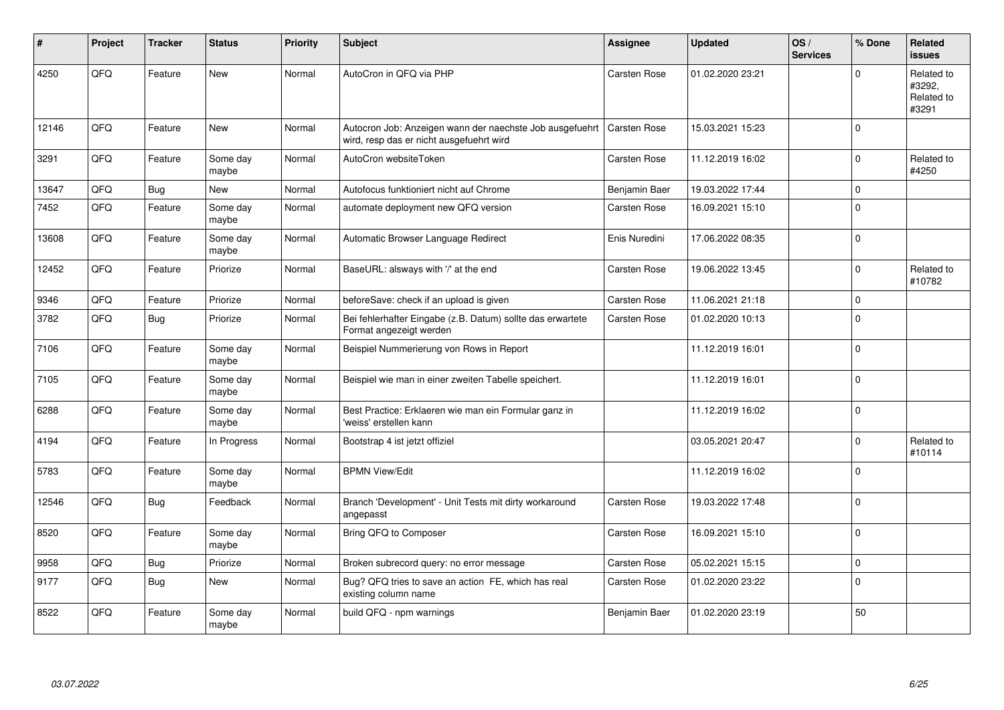| #     | Project | <b>Tracker</b> | <b>Status</b>     | <b>Priority</b> | <b>Subject</b>                                                                                       | <b>Assignee</b>     | <b>Updated</b>   | OS/<br><b>Services</b> | % Done      | Related<br><b>issues</b>                    |
|-------|---------|----------------|-------------------|-----------------|------------------------------------------------------------------------------------------------------|---------------------|------------------|------------------------|-------------|---------------------------------------------|
| 4250  | QFQ     | Feature        | <b>New</b>        | Normal          | AutoCron in QFQ via PHP                                                                              | Carsten Rose        | 01.02.2020 23:21 |                        | $\Omega$    | Related to<br>#3292,<br>Related to<br>#3291 |
| 12146 | QFQ     | Feature        | <b>New</b>        | Normal          | Autocron Job: Anzeigen wann der naechste Job ausgefuehrt<br>wird, resp das er nicht ausgefuehrt wird | Carsten Rose        | 15.03.2021 15:23 |                        | $\mathbf 0$ |                                             |
| 3291  | QFQ     | Feature        | Some day<br>maybe | Normal          | AutoCron websiteToken                                                                                | Carsten Rose        | 11.12.2019 16:02 |                        | $\mathbf 0$ | Related to<br>#4250                         |
| 13647 | QFQ     | <b>Bug</b>     | <b>New</b>        | Normal          | Autofocus funktioniert nicht auf Chrome                                                              | Benjamin Baer       | 19.03.2022 17:44 |                        | $\mathbf 0$ |                                             |
| 7452  | QFQ     | Feature        | Some day<br>maybe | Normal          | automate deployment new QFQ version                                                                  | <b>Carsten Rose</b> | 16.09.2021 15:10 |                        | $\mathbf 0$ |                                             |
| 13608 | QFQ     | Feature        | Some day<br>maybe | Normal          | Automatic Browser Language Redirect                                                                  | Enis Nuredini       | 17.06.2022 08:35 |                        | $\mathbf 0$ |                                             |
| 12452 | QFQ     | Feature        | Priorize          | Normal          | BaseURL: alsways with '/' at the end                                                                 | Carsten Rose        | 19.06.2022 13:45 |                        | $\mathbf 0$ | Related to<br>#10782                        |
| 9346  | QFQ     | Feature        | Priorize          | Normal          | beforeSave: check if an upload is given                                                              | Carsten Rose        | 11.06.2021 21:18 |                        | $\mathsf 0$ |                                             |
| 3782  | QFQ     | <b>Bug</b>     | Priorize          | Normal          | Bei fehlerhafter Eingabe (z.B. Datum) sollte das erwartete<br>Format angezeigt werden                | Carsten Rose        | 01.02.2020 10:13 |                        | $\mathbf 0$ |                                             |
| 7106  | QFQ     | Feature        | Some day<br>maybe | Normal          | Beispiel Nummerierung von Rows in Report                                                             |                     | 11.12.2019 16:01 |                        | $\mathsf 0$ |                                             |
| 7105  | QFQ     | Feature        | Some day<br>maybe | Normal          | Beispiel wie man in einer zweiten Tabelle speichert.                                                 |                     | 11.12.2019 16:01 |                        | $\Omega$    |                                             |
| 6288  | QFQ     | Feature        | Some day<br>maybe | Normal          | Best Practice: Erklaeren wie man ein Formular ganz in<br>'weiss' erstellen kann                      |                     | 11.12.2019 16:02 |                        | $\mathbf 0$ |                                             |
| 4194  | QFQ     | Feature        | In Progress       | Normal          | Bootstrap 4 ist jetzt offiziel                                                                       |                     | 03.05.2021 20:47 |                        | $\mathbf 0$ | Related to<br>#10114                        |
| 5783  | QFQ     | Feature        | Some day<br>maybe | Normal          | <b>BPMN View/Edit</b>                                                                                |                     | 11.12.2019 16:02 |                        | $\mathbf 0$ |                                             |
| 12546 | QFQ     | <b>Bug</b>     | Feedback          | Normal          | Branch 'Development' - Unit Tests mit dirty workaround<br>angepasst                                  | Carsten Rose        | 19.03.2022 17:48 |                        | $\mathbf 0$ |                                             |
| 8520  | QFQ     | Feature        | Some day<br>maybe | Normal          | Bring QFQ to Composer                                                                                | Carsten Rose        | 16.09.2021 15:10 |                        | $\mathbf 0$ |                                             |
| 9958  | QFQ     | <b>Bug</b>     | Priorize          | Normal          | Broken subrecord query: no error message                                                             | Carsten Rose        | 05.02.2021 15:15 |                        | $\pmb{0}$   |                                             |
| 9177  | QFQ     | <b>Bug</b>     | <b>New</b>        | Normal          | Bug? QFQ tries to save an action FE, which has real<br>existing column name                          | Carsten Rose        | 01.02.2020 23:22 |                        | $\mathbf 0$ |                                             |
| 8522  | QFQ     | Feature        | Some day<br>maybe | Normal          | build QFQ - npm warnings                                                                             | Benjamin Baer       | 01.02.2020 23:19 |                        | 50          |                                             |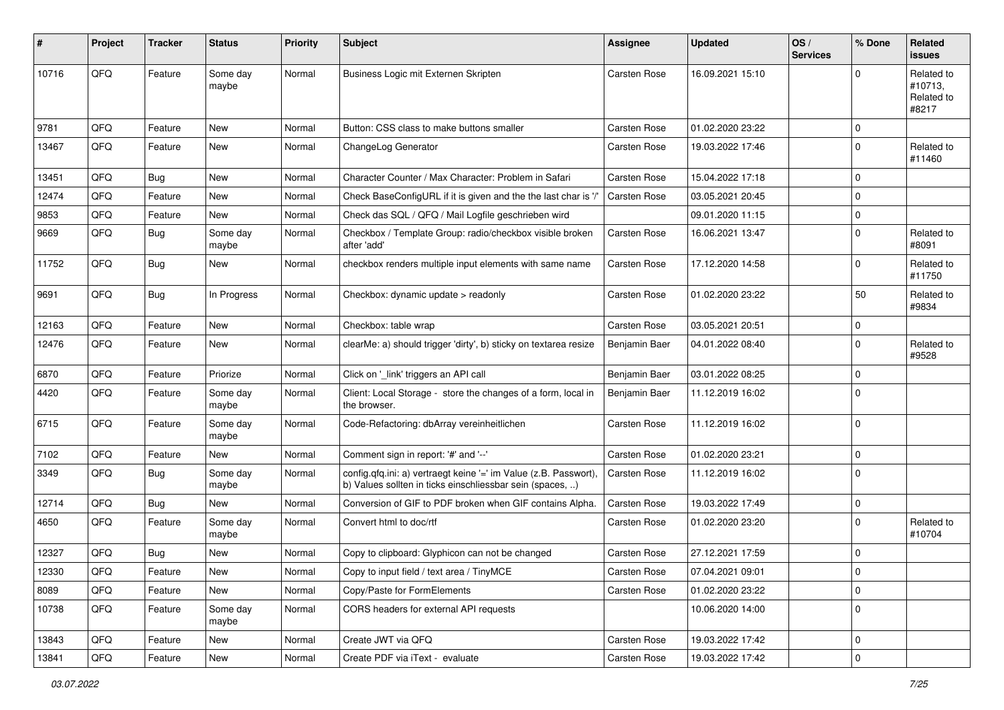| #     | <b>Project</b> | <b>Tracker</b> | <b>Status</b>     | <b>Priority</b> | Subject                                                                                                                       | <b>Assignee</b>     | <b>Updated</b>   | OS/<br><b>Services</b> | % Done              | <b>Related</b><br><b>issues</b>              |
|-------|----------------|----------------|-------------------|-----------------|-------------------------------------------------------------------------------------------------------------------------------|---------------------|------------------|------------------------|---------------------|----------------------------------------------|
| 10716 | QFQ            | Feature        | Some day<br>maybe | Normal          | Business Logic mit Externen Skripten                                                                                          | <b>Carsten Rose</b> | 16.09.2021 15:10 |                        | $\mathbf 0$         | Related to<br>#10713,<br>Related to<br>#8217 |
| 9781  | QFQ            | Feature        | <b>New</b>        | Normal          | Button: CSS class to make buttons smaller                                                                                     | Carsten Rose        | 01.02.2020 23:22 |                        | $\mathbf 0$         |                                              |
| 13467 | QFQ            | Feature        | New               | Normal          | ChangeLog Generator                                                                                                           | Carsten Rose        | 19.03.2022 17:46 |                        | $\mathbf 0$         | Related to<br>#11460                         |
| 13451 | QFQ            | Bug            | New               | Normal          | Character Counter / Max Character: Problem in Safari                                                                          | Carsten Rose        | 15.04.2022 17:18 |                        | $\mathbf 0$         |                                              |
| 12474 | QFQ            | Feature        | New               | Normal          | Check BaseConfigURL if it is given and the the last char is '/'                                                               | Carsten Rose        | 03.05.2021 20:45 |                        | $\mathbf 0$         |                                              |
| 9853  | QFQ            | Feature        | New               | Normal          | Check das SQL / QFQ / Mail Logfile geschrieben wird                                                                           |                     | 09.01.2020 11:15 |                        | $\mathbf 0$         |                                              |
| 9669  | QFQ            | <b>Bug</b>     | Some day<br>maybe | Normal          | Checkbox / Template Group: radio/checkbox visible broken<br>after 'add'                                                       | Carsten Rose        | 16.06.2021 13:47 |                        | $\mathbf 0$         | Related to<br>#8091                          |
| 11752 | QFQ            | Bug            | New               | Normal          | checkbox renders multiple input elements with same name                                                                       | Carsten Rose        | 17.12.2020 14:58 |                        | $\mathbf 0$         | Related to<br>#11750                         |
| 9691  | QFQ            | Bug            | In Progress       | Normal          | Checkbox: dynamic update > readonly                                                                                           | Carsten Rose        | 01.02.2020 23:22 |                        | 50                  | Related to<br>#9834                          |
| 12163 | QFQ            | Feature        | <b>New</b>        | Normal          | Checkbox: table wrap                                                                                                          | Carsten Rose        | 03.05.2021 20:51 |                        | $\mathbf 0$         |                                              |
| 12476 | QFQ            | Feature        | New               | Normal          | clearMe: a) should trigger 'dirty', b) sticky on textarea resize                                                              | Benjamin Baer       | 04.01.2022 08:40 |                        | $\mathbf 0$         | Related to<br>#9528                          |
| 6870  | QFQ            | Feature        | Priorize          | Normal          | Click on '_link' triggers an API call                                                                                         | Benjamin Baer       | 03.01.2022 08:25 |                        | $\mathbf 0$         |                                              |
| 4420  | QFQ            | Feature        | Some day<br>maybe | Normal          | Client: Local Storage - store the changes of a form, local in<br>the browser.                                                 | Benjamin Baer       | 11.12.2019 16:02 |                        | $\mathbf 0$         |                                              |
| 6715  | QFQ            | Feature        | Some day<br>maybe | Normal          | Code-Refactoring: dbArray vereinheitlichen                                                                                    | Carsten Rose        | 11.12.2019 16:02 |                        | $\mathbf 0$         |                                              |
| 7102  | QFQ            | Feature        | New               | Normal          | Comment sign in report: '#' and '--'                                                                                          | Carsten Rose        | 01.02.2020 23:21 |                        | $\mathbf 0$         |                                              |
| 3349  | QFQ            | Bug            | Some day<br>maybe | Normal          | config.qfq.ini: a) vertraegt keine '=' im Value (z.B. Passwort),<br>b) Values sollten in ticks einschliessbar sein (spaces, ) | Carsten Rose        | 11.12.2019 16:02 |                        | $\mathbf 0$         |                                              |
| 12714 | QFQ            | Bug            | <b>New</b>        | Normal          | Conversion of GIF to PDF broken when GIF contains Alpha.                                                                      | Carsten Rose        | 19.03.2022 17:49 |                        | $\mathbf 0$         |                                              |
| 4650  | QFQ            | Feature        | Some day<br>maybe | Normal          | Convert html to doc/rtf                                                                                                       | Carsten Rose        | 01.02.2020 23:20 |                        | $\mathbf 0$         | Related to<br>#10704                         |
| 12327 | QFQ            | <b>Bug</b>     | New               | Normal          | Copy to clipboard: Glyphicon can not be changed                                                                               | Carsten Rose        | 27.12.2021 17:59 |                        | $\mathbf 0$         |                                              |
| 12330 | QFQ            | Feature        | New               | Normal          | Copy to input field / text area / TinyMCE                                                                                     | Carsten Rose        | 07.04.2021 09:01 |                        | 0                   |                                              |
| 8089  | QFQ            | Feature        | New               | Normal          | Copy/Paste for FormElements                                                                                                   | Carsten Rose        | 01.02.2020 23:22 |                        | $\mathbf 0$         |                                              |
| 10738 | QFQ            | Feature        | Some day<br>maybe | Normal          | CORS headers for external API requests                                                                                        |                     | 10.06.2020 14:00 |                        | $\mathsf 0$         |                                              |
| 13843 | QFQ            | Feature        | New               | Normal          | Create JWT via QFQ                                                                                                            | Carsten Rose        | 19.03.2022 17:42 |                        | $\mathsf 0$         |                                              |
| 13841 | QFQ            | Feature        | New               | Normal          | Create PDF via iText - evaluate                                                                                               | Carsten Rose        | 19.03.2022 17:42 |                        | $\mathsf{O}\xspace$ |                                              |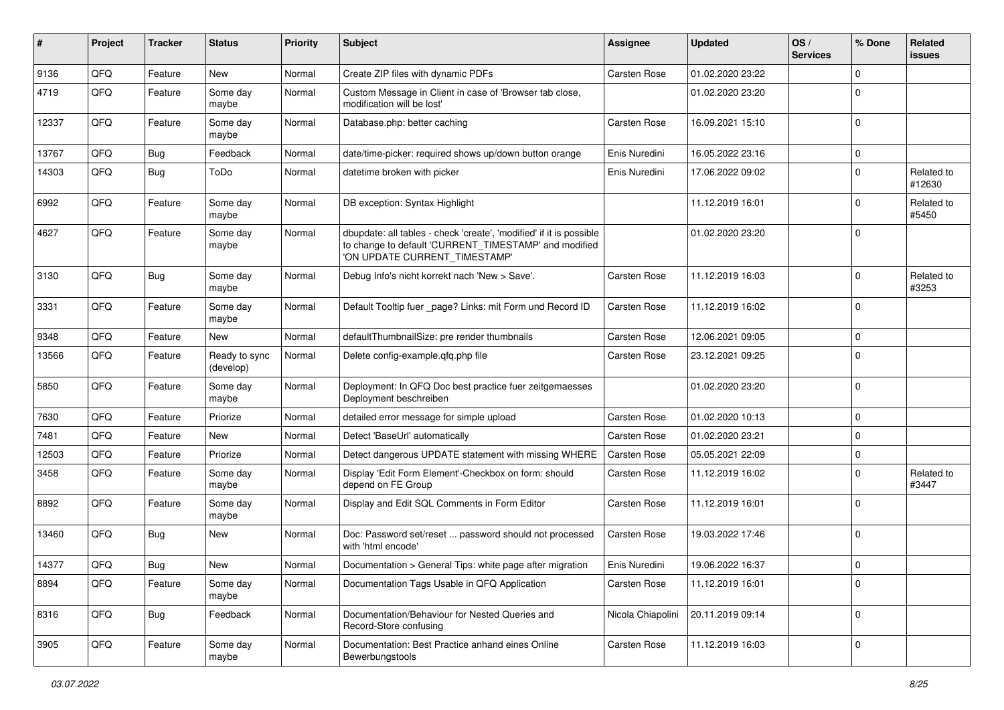| #     | Project | <b>Tracker</b> | <b>Status</b>              | <b>Priority</b> | Subject                                                                                                                                                       | <b>Assignee</b>     | <b>Updated</b>   | OS/<br><b>Services</b> | % Done      | <b>Related</b><br><b>issues</b> |
|-------|---------|----------------|----------------------------|-----------------|---------------------------------------------------------------------------------------------------------------------------------------------------------------|---------------------|------------------|------------------------|-------------|---------------------------------|
| 9136  | QFQ     | Feature        | <b>New</b>                 | Normal          | Create ZIP files with dynamic PDFs                                                                                                                            | <b>Carsten Rose</b> | 01.02.2020 23:22 |                        | $\mathbf 0$ |                                 |
| 4719  | QFQ     | Feature        | Some day<br>maybe          | Normal          | Custom Message in Client in case of 'Browser tab close,<br>modification will be lost'                                                                         |                     | 01.02.2020 23:20 |                        | $\mathbf 0$ |                                 |
| 12337 | QFQ     | Feature        | Some day<br>maybe          | Normal          | Database.php: better caching                                                                                                                                  | Carsten Rose        | 16.09.2021 15:10 |                        | $\mathbf 0$ |                                 |
| 13767 | QFQ     | Bug            | Feedback                   | Normal          | date/time-picker: required shows up/down button orange                                                                                                        | Enis Nuredini       | 16.05.2022 23:16 |                        | $\mathbf 0$ |                                 |
| 14303 | QFQ     | Bug            | ToDo                       | Normal          | datetime broken with picker                                                                                                                                   | Enis Nuredini       | 17.06.2022 09:02 |                        | $\mathbf 0$ | Related to<br>#12630            |
| 6992  | QFQ     | Feature        | Some day<br>maybe          | Normal          | DB exception: Syntax Highlight                                                                                                                                |                     | 11.12.2019 16:01 |                        | 0           | Related to<br>#5450             |
| 4627  | QFQ     | Feature        | Some day<br>maybe          | Normal          | dbupdate: all tables - check 'create', 'modified' if it is possible<br>to change to default 'CURRENT_TIMESTAMP' and modified<br>'ON UPDATE CURRENT_TIMESTAMP' |                     | 01.02.2020 23:20 |                        | $\mathbf 0$ |                                 |
| 3130  | QFQ     | Bug            | Some day<br>maybe          | Normal          | Debug Info's nicht korrekt nach 'New > Save'.                                                                                                                 | <b>Carsten Rose</b> | 11.12.2019 16:03 |                        | $\mathbf 0$ | Related to<br>#3253             |
| 3331  | QFQ     | Feature        | Some day<br>maybe          | Normal          | Default Tooltip fuer _page? Links: mit Form und Record ID                                                                                                     | Carsten Rose        | 11.12.2019 16:02 |                        | $\mathbf 0$ |                                 |
| 9348  | QFQ     | Feature        | New                        | Normal          | defaultThumbnailSize: pre render thumbnails                                                                                                                   | Carsten Rose        | 12.06.2021 09:05 |                        | $\mathbf 0$ |                                 |
| 13566 | QFQ     | Feature        | Ready to sync<br>(develop) | Normal          | Delete config-example.qfq.php file                                                                                                                            | Carsten Rose        | 23.12.2021 09:25 |                        | $\mathbf 0$ |                                 |
| 5850  | QFQ     | Feature        | Some day<br>maybe          | Normal          | Deployment: In QFQ Doc best practice fuer zeitgemaesses<br>Deployment beschreiben                                                                             |                     | 01.02.2020 23:20 |                        | $\mathbf 0$ |                                 |
| 7630  | QFQ     | Feature        | Priorize                   | Normal          | detailed error message for simple upload                                                                                                                      | <b>Carsten Rose</b> | 01.02.2020 10:13 |                        | $\mathbf 0$ |                                 |
| 7481  | QFQ     | Feature        | New                        | Normal          | Detect 'BaseUrl' automatically                                                                                                                                | Carsten Rose        | 01.02.2020 23:21 |                        | $\mathbf 0$ |                                 |
| 12503 | QFQ     | Feature        | Priorize                   | Normal          | Detect dangerous UPDATE statement with missing WHERE                                                                                                          | Carsten Rose        | 05.05.2021 22:09 |                        | $\mathbf 0$ |                                 |
| 3458  | QFQ     | Feature        | Some day<br>maybe          | Normal          | Display 'Edit Form Element'-Checkbox on form: should<br>depend on FE Group                                                                                    | Carsten Rose        | 11.12.2019 16:02 |                        | $\mathbf 0$ | Related to<br>#3447             |
| 8892  | QFQ     | Feature        | Some day<br>maybe          | Normal          | Display and Edit SQL Comments in Form Editor                                                                                                                  | Carsten Rose        | 11.12.2019 16:01 |                        | $\mathbf 0$ |                                 |
| 13460 | QFQ     | Bug            | New                        | Normal          | Doc: Password set/reset  password should not processed<br>with 'html encode'                                                                                  | Carsten Rose        | 19.03.2022 17:46 |                        | $\mathbf 0$ |                                 |
| 14377 | QFQ     | Bug            | New                        | Normal          | Documentation > General Tips: white page after migration                                                                                                      | Enis Nuredini       | 19.06.2022 16:37 |                        | $\mathbf 0$ |                                 |
| 8894  | QFQ     | Feature        | Some day<br>maybe          | Normal          | Documentation Tags Usable in QFQ Application                                                                                                                  | Carsten Rose        | 11.12.2019 16:01 |                        | $\mathbf 0$ |                                 |
| 8316  | QFQ     | <b>Bug</b>     | Feedback                   | Normal          | Documentation/Behaviour for Nested Queries and<br>Record-Store confusing                                                                                      | Nicola Chiapolini   | 20.11.2019 09:14 |                        | $\mathbf 0$ |                                 |
| 3905  | QFQ     | Feature        | Some day<br>maybe          | Normal          | Documentation: Best Practice anhand eines Online<br>Bewerbungstools                                                                                           | Carsten Rose        | 11.12.2019 16:03 |                        | $\mathbf 0$ |                                 |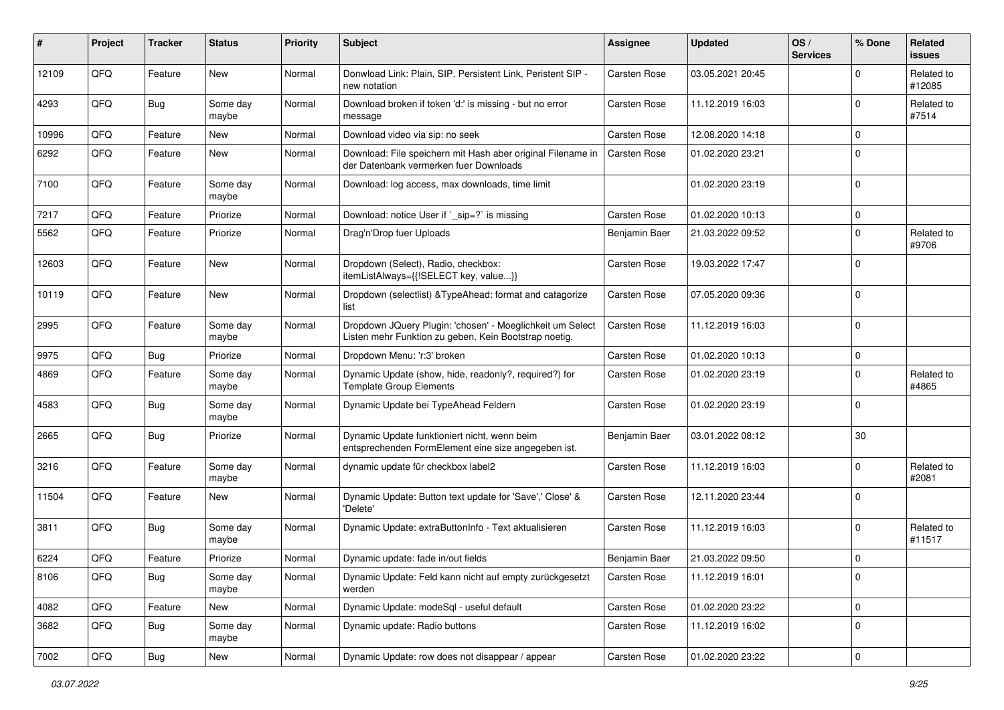| #     | Project | <b>Tracker</b> | <b>Status</b>     | <b>Priority</b> | <b>Subject</b>                                                                                                     | <b>Assignee</b> | <b>Updated</b>   | OS/<br><b>Services</b> | % Done      | Related<br><b>issues</b> |
|-------|---------|----------------|-------------------|-----------------|--------------------------------------------------------------------------------------------------------------------|-----------------|------------------|------------------------|-------------|--------------------------|
| 12109 | QFQ     | Feature        | <b>New</b>        | Normal          | Donwload Link: Plain, SIP, Persistent Link, Peristent SIP -<br>new notation                                        | Carsten Rose    | 03.05.2021 20:45 |                        | 0           | Related to<br>#12085     |
| 4293  | QFQ     | <b>Bug</b>     | Some day<br>maybe | Normal          | Download broken if token 'd:' is missing - but no error<br>message                                                 | Carsten Rose    | 11.12.2019 16:03 |                        | $\Omega$    | Related to<br>#7514      |
| 10996 | QFQ     | Feature        | New               | Normal          | Download video via sip: no seek                                                                                    | Carsten Rose    | 12.08.2020 14:18 |                        | 0           |                          |
| 6292  | QFQ     | Feature        | New               | Normal          | Download: File speichern mit Hash aber original Filename in<br>der Datenbank vermerken fuer Downloads              | Carsten Rose    | 01.02.2020 23:21 |                        | $\Omega$    |                          |
| 7100  | QFQ     | Feature        | Some day<br>maybe | Normal          | Download: log access, max downloads, time limit                                                                    |                 | 01.02.2020 23:19 |                        | $\Omega$    |                          |
| 7217  | QFQ     | Feature        | Priorize          | Normal          | Download: notice User if `_sip=?` is missing                                                                       | Carsten Rose    | 01.02.2020 10:13 |                        | $\mathbf 0$ |                          |
| 5562  | QFQ     | Feature        | Priorize          | Normal          | Drag'n'Drop fuer Uploads                                                                                           | Benjamin Baer   | 21.03.2022 09:52 |                        | $\Omega$    | Related to<br>#9706      |
| 12603 | QFQ     | Feature        | <b>New</b>        | Normal          | Dropdown (Select), Radio, checkbox:<br>itemListAlways={{!SELECT key, value}}                                       | Carsten Rose    | 19.03.2022 17:47 |                        | $\Omega$    |                          |
| 10119 | QFQ     | Feature        | <b>New</b>        | Normal          | Dropdown (selectlist) & Type Ahead: format and catagorize<br>list                                                  | Carsten Rose    | 07.05.2020 09:36 |                        | $\Omega$    |                          |
| 2995  | QFQ     | Feature        | Some day<br>maybe | Normal          | Dropdown JQuery Plugin: 'chosen' - Moeglichkeit um Select<br>Listen mehr Funktion zu geben. Kein Bootstrap noetig. | Carsten Rose    | 11.12.2019 16:03 |                        | $\Omega$    |                          |
| 9975  | QFQ     | <b>Bug</b>     | Priorize          | Normal          | Dropdown Menu: 'r:3' broken                                                                                        | Carsten Rose    | 01.02.2020 10:13 |                        | 0           |                          |
| 4869  | QFQ     | Feature        | Some day<br>maybe | Normal          | Dynamic Update (show, hide, readonly?, required?) for<br><b>Template Group Elements</b>                            | Carsten Rose    | 01.02.2020 23:19 |                        | $\Omega$    | Related to<br>#4865      |
| 4583  | QFQ     | <b>Bug</b>     | Some day<br>maybe | Normal          | Dynamic Update bei TypeAhead Feldern                                                                               | Carsten Rose    | 01.02.2020 23:19 |                        | $\Omega$    |                          |
| 2665  | QFQ     | Bug            | Priorize          | Normal          | Dynamic Update funktioniert nicht, wenn beim<br>entsprechenden FormElement eine size angegeben ist.                | Benjamin Baer   | 03.01.2022 08:12 |                        | 30          |                          |
| 3216  | QFQ     | Feature        | Some day<br>maybe | Normal          | dynamic update für checkbox label2                                                                                 | Carsten Rose    | 11.12.2019 16:03 |                        | 0           | Related to<br>#2081      |
| 11504 | QFQ     | Feature        | New               | Normal          | Dynamic Update: Button text update for 'Save',' Close' &<br>'Delete'                                               | Carsten Rose    | 12.11.2020 23:44 |                        | $\Omega$    |                          |
| 3811  | QFQ     | <b>Bug</b>     | Some day<br>maybe | Normal          | Dynamic Update: extraButtonInfo - Text aktualisieren                                                               | Carsten Rose    | 11.12.2019 16:03 |                        | 0           | Related to<br>#11517     |
| 6224  | QFQ     | Feature        | Priorize          | Normal          | Dynamic update: fade in/out fields                                                                                 | Benjamin Baer   | 21.03.2022 09:50 |                        | 0           |                          |
| 8106  | QFQ     | <b>Bug</b>     | Some day<br>maybe | Normal          | Dynamic Update: Feld kann nicht auf empty zurückgesetzt<br>werden                                                  | Carsten Rose    | 11.12.2019 16:01 |                        | $\mathbf 0$ |                          |
| 4082  | QFQ     | Feature        | New               | Normal          | Dynamic Update: modeSql - useful default                                                                           | Carsten Rose    | 01.02.2020 23:22 |                        | $\mathbf 0$ |                          |
| 3682  | QFQ     | Bug            | Some day<br>maybe | Normal          | Dynamic update: Radio buttons                                                                                      | Carsten Rose    | 11.12.2019 16:02 |                        | $\mathbf 0$ |                          |
| 7002  | QFQ     | Bug            | New               | Normal          | Dynamic Update: row does not disappear / appear                                                                    | Carsten Rose    | 01.02.2020 23:22 |                        | 0           |                          |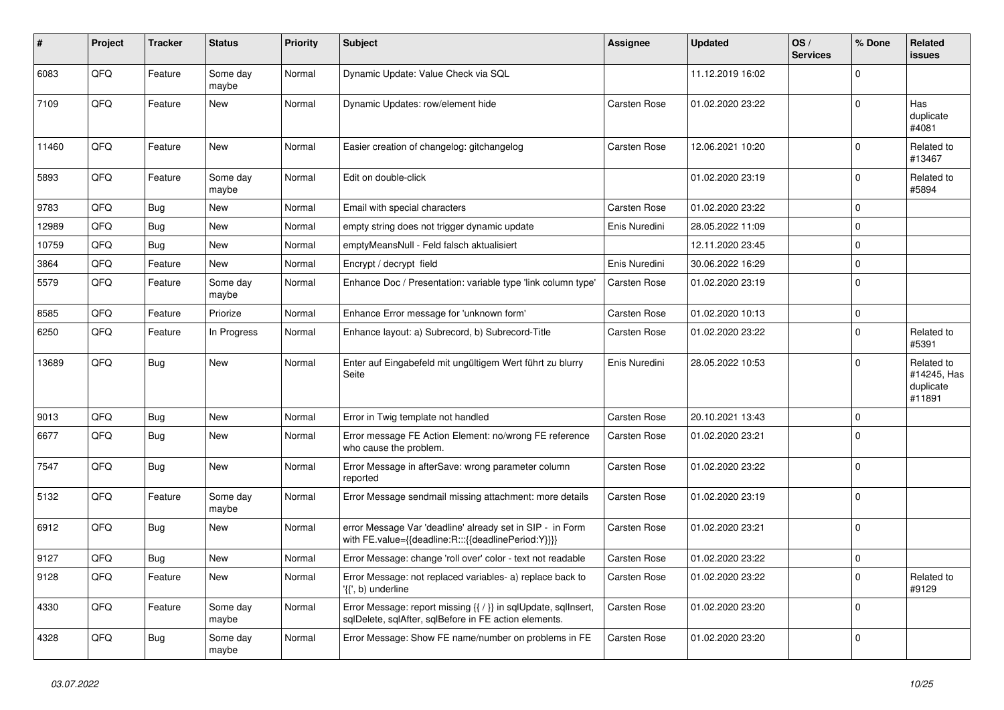| ∦     | Project    | <b>Tracker</b> | <b>Status</b>     | <b>Priority</b> | <b>Subject</b>                                                                                                          | Assignee            | <b>Updated</b>   | OS/<br><b>Services</b> | % Done      | Related<br><b>issues</b>                         |
|-------|------------|----------------|-------------------|-----------------|-------------------------------------------------------------------------------------------------------------------------|---------------------|------------------|------------------------|-------------|--------------------------------------------------|
| 6083  | QFQ        | Feature        | Some day<br>maybe | Normal          | Dynamic Update: Value Check via SQL                                                                                     |                     | 11.12.2019 16:02 |                        | $\Omega$    |                                                  |
| 7109  | QFQ        | Feature        | <b>New</b>        | Normal          | Dynamic Updates: row/element hide                                                                                       | <b>Carsten Rose</b> | 01.02.2020 23:22 |                        | $\Omega$    | Has<br>duplicate<br>#4081                        |
| 11460 | QFQ        | Feature        | New               | Normal          | Easier creation of changelog: gitchangelog                                                                              | <b>Carsten Rose</b> | 12.06.2021 10:20 |                        | $\Omega$    | Related to<br>#13467                             |
| 5893  | QFQ        | Feature        | Some day<br>maybe | Normal          | Edit on double-click                                                                                                    |                     | 01.02.2020 23:19 |                        | $\Omega$    | Related to<br>#5894                              |
| 9783  | QFQ        | <b>Bug</b>     | New               | Normal          | Email with special characters                                                                                           | <b>Carsten Rose</b> | 01.02.2020 23:22 |                        | $\Omega$    |                                                  |
| 12989 | QFQ        | <b>Bug</b>     | <b>New</b>        | Normal          | empty string does not trigger dynamic update                                                                            | Enis Nuredini       | 28.05.2022 11:09 |                        | $\Omega$    |                                                  |
| 10759 | QFQ        | Bug            | <b>New</b>        | Normal          | emptyMeansNull - Feld falsch aktualisiert                                                                               |                     | 12.11.2020 23:45 |                        | $\Omega$    |                                                  |
| 3864  | QFQ        | Feature        | <b>New</b>        | Normal          | Encrypt / decrypt field                                                                                                 | Enis Nuredini       | 30.06.2022 16:29 |                        | $\Omega$    |                                                  |
| 5579  | QFQ        | Feature        | Some day<br>maybe | Normal          | Enhance Doc / Presentation: variable type 'link column type'                                                            | <b>Carsten Rose</b> | 01.02.2020 23:19 |                        | $\Omega$    |                                                  |
| 8585  | QFQ        | Feature        | Priorize          | Normal          | Enhance Error message for 'unknown form'                                                                                | Carsten Rose        | 01.02.2020 10:13 |                        | $\mathbf 0$ |                                                  |
| 6250  | QFQ        | Feature        | In Progress       | Normal          | Enhance layout: a) Subrecord, b) Subrecord-Title                                                                        | Carsten Rose        | 01.02.2020 23:22 |                        | $\Omega$    | Related to<br>#5391                              |
| 13689 | QFQ        | Bug            | <b>New</b>        | Normal          | Enter auf Eingabefeld mit ungültigem Wert führt zu blurry<br>Seite                                                      | Enis Nuredini       | 28.05.2022 10:53 |                        | $\Omega$    | Related to<br>#14245, Has<br>duplicate<br>#11891 |
| 9013  | QFQ        | <b>Bug</b>     | <b>New</b>        | Normal          | Error in Twig template not handled                                                                                      | <b>Carsten Rose</b> | 20.10.2021 13:43 |                        | $\Omega$    |                                                  |
| 6677  | QFQ        | Bug            | <b>New</b>        | Normal          | Error message FE Action Element: no/wrong FE reference<br>who cause the problem.                                        | Carsten Rose        | 01.02.2020 23:21 |                        | $\Omega$    |                                                  |
| 7547  | QFQ        | <b>Bug</b>     | <b>New</b>        | Normal          | Error Message in afterSave: wrong parameter column<br>reported                                                          | <b>Carsten Rose</b> | 01.02.2020 23:22 |                        | $\mathbf 0$ |                                                  |
| 5132  | <b>OFO</b> | Feature        | Some day<br>maybe | Normal          | Error Message sendmail missing attachment: more details                                                                 | <b>Carsten Rose</b> | 01.02.2020 23:19 |                        | $\Omega$    |                                                  |
| 6912  | QFQ        | <b>Bug</b>     | <b>New</b>        | Normal          | error Message Var 'deadline' already set in SIP - in Form<br>with FE.value={{deadline:R:::{{deadlinePeriod:Y}}}}        | Carsten Rose        | 01.02.2020 23:21 |                        | $\Omega$    |                                                  |
| 9127  | QFQ        | <b>Bug</b>     | <b>New</b>        | Normal          | Error Message: change 'roll over' color - text not readable                                                             | <b>Carsten Rose</b> | 01.02.2020 23:22 |                        | $\mathbf 0$ |                                                  |
| 9128  | QFQ        | Feature        | <b>New</b>        | Normal          | Error Message: not replaced variables- a) replace back to<br>'{{', b) underline                                         | Carsten Rose        | 01.02.2020 23:22 |                        | $\Omega$    | Related to<br>#9129                              |
| 4330  | QFQ        | Feature        | Some day<br>maybe | Normal          | Error Message: report missing {{ / }} in sqlUpdate, sqlInsert,<br>sqlDelete, sqlAfter, sqlBefore in FE action elements. | <b>Carsten Rose</b> | 01.02.2020 23:20 |                        | $\Omega$    |                                                  |
| 4328  | QFQ        | Bug            | Some day<br>maybe | Normal          | Error Message: Show FE name/number on problems in FE                                                                    | Carsten Rose        | 01.02.2020 23:20 |                        | $\Omega$    |                                                  |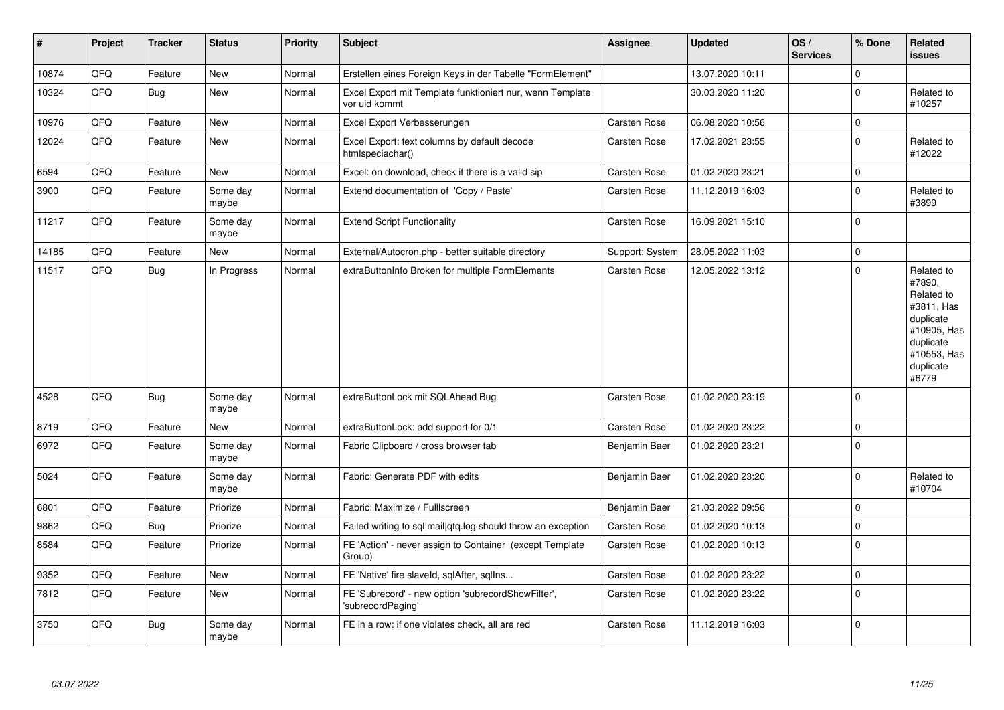| $\sharp$ | Project | <b>Tracker</b> | <b>Status</b>     | <b>Priority</b> | <b>Subject</b>                                                             | <b>Assignee</b> | <b>Updated</b>   | OS/<br><b>Services</b> | % Done      | Related<br><b>issues</b>                                                                                                       |
|----------|---------|----------------|-------------------|-----------------|----------------------------------------------------------------------------|-----------------|------------------|------------------------|-------------|--------------------------------------------------------------------------------------------------------------------------------|
| 10874    | QFQ     | Feature        | <b>New</b>        | Normal          | Erstellen eines Foreign Keys in der Tabelle "FormElement"                  |                 | 13.07.2020 10:11 |                        | $\Omega$    |                                                                                                                                |
| 10324    | QFQ     | Bug            | New               | Normal          | Excel Export mit Template funktioniert nur, wenn Template<br>vor uid kommt |                 | 30.03.2020 11:20 |                        | $\Omega$    | Related to<br>#10257                                                                                                           |
| 10976    | QFQ     | Feature        | New               | Normal          | Excel Export Verbesserungen                                                | Carsten Rose    | 06.08.2020 10:56 |                        | $\Omega$    |                                                                                                                                |
| 12024    | QFQ     | Feature        | New               | Normal          | Excel Export: text columns by default decode<br>htmlspeciachar()           | Carsten Rose    | 17.02.2021 23:55 |                        | $\mathbf 0$ | Related to<br>#12022                                                                                                           |
| 6594     | QFQ     | Feature        | New               | Normal          | Excel: on download, check if there is a valid sip                          | Carsten Rose    | 01.02.2020 23:21 |                        | $\Omega$    |                                                                                                                                |
| 3900     | QFQ     | Feature        | Some day<br>maybe | Normal          | Extend documentation of 'Copy / Paste'                                     | Carsten Rose    | 11.12.2019 16:03 |                        | $\Omega$    | Related to<br>#3899                                                                                                            |
| 11217    | QFQ     | Feature        | Some day<br>maybe | Normal          | <b>Extend Script Functionality</b>                                         | Carsten Rose    | 16.09.2021 15:10 |                        | $\Omega$    |                                                                                                                                |
| 14185    | QFQ     | Feature        | <b>New</b>        | Normal          | External/Autocron.php - better suitable directory                          | Support: System | 28.05.2022 11:03 |                        | $\mathbf 0$ |                                                                                                                                |
| 11517    | QFQ     | <b>Bug</b>     | In Progress       | Normal          | extraButtonInfo Broken for multiple FormElements                           | Carsten Rose    | 12.05.2022 13:12 |                        | $\Omega$    | Related to<br>#7890,<br>Related to<br>#3811, Has<br>duplicate<br>#10905, Has<br>duplicate<br>#10553, Has<br>duplicate<br>#6779 |
| 4528     | QFQ     | <b>Bug</b>     | Some day<br>maybe | Normal          | extraButtonLock mit SQLAhead Bug                                           | Carsten Rose    | 01.02.2020 23:19 |                        | $\Omega$    |                                                                                                                                |
| 8719     | QFQ     | Feature        | <b>New</b>        | Normal          | extraButtonLock: add support for 0/1                                       | Carsten Rose    | 01.02.2020 23:22 |                        | $\Omega$    |                                                                                                                                |
| 6972     | QFQ     | Feature        | Some day<br>maybe | Normal          | Fabric Clipboard / cross browser tab                                       | Benjamin Baer   | 01.02.2020 23:21 |                        | $\Omega$    |                                                                                                                                |
| 5024     | QFQ     | Feature        | Some day<br>maybe | Normal          | Fabric: Generate PDF with edits                                            | Benjamin Baer   | 01.02.2020 23:20 |                        | $\Omega$    | Related to<br>#10704                                                                                                           |
| 6801     | QFQ     | Feature        | Priorize          | Normal          | Fabric: Maximize / Fulllscreen                                             | Benjamin Baer   | 21.03.2022 09:56 |                        | $\mathbf 0$ |                                                                                                                                |
| 9862     | QFQ     | <b>Bug</b>     | Priorize          | Normal          | Failed writing to sql mail qfq.log should throw an exception               | Carsten Rose    | 01.02.2020 10:13 |                        | $\mathbf 0$ |                                                                                                                                |
| 8584     | QFQ     | Feature        | Priorize          | Normal          | FE 'Action' - never assign to Container (except Template<br>Group)         | Carsten Rose    | 01.02.2020 10:13 |                        | $\Omega$    |                                                                                                                                |
| 9352     | QFQ     | Feature        | New               | Normal          | FE 'Native' fire slaveld, sqlAfter, sqlIns                                 | Carsten Rose    | 01.02.2020 23:22 |                        | 0           |                                                                                                                                |
| 7812     | QFQ     | Feature        | New               | Normal          | FE 'Subrecord' - new option 'subrecordShowFilter',<br>'subrecordPaging'    | Carsten Rose    | 01.02.2020 23:22 |                        | $\Omega$    |                                                                                                                                |
| 3750     | QFQ     | <b>Bug</b>     | Some day<br>maybe | Normal          | FE in a row: if one violates check, all are red                            | Carsten Rose    | 11.12.2019 16:03 |                        | $\Omega$    |                                                                                                                                |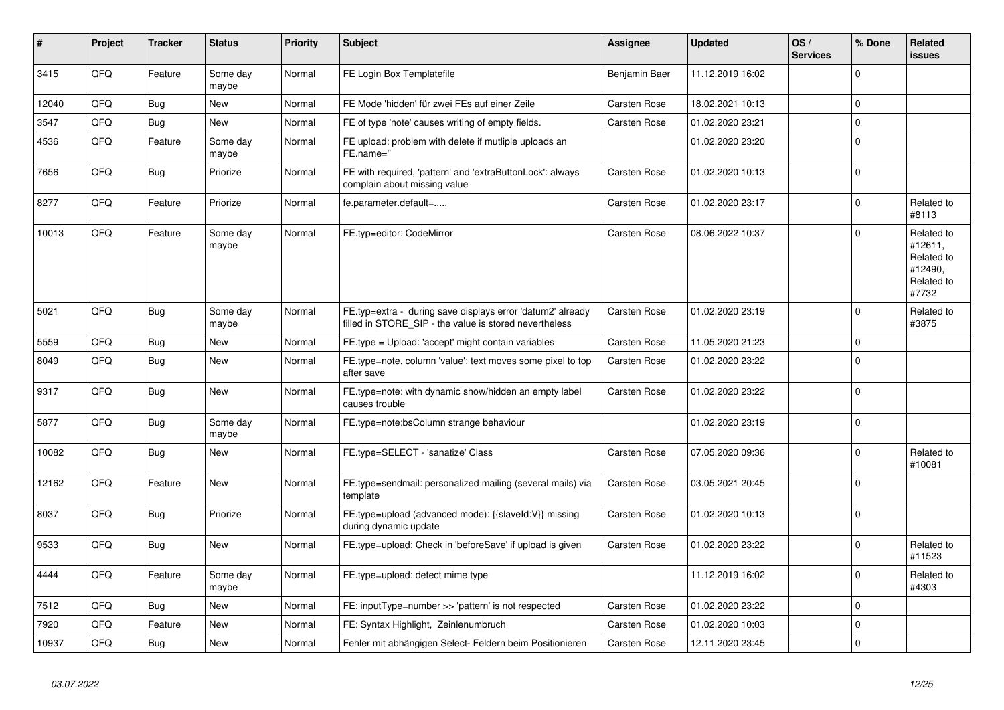| #     | Project    | <b>Tracker</b> | <b>Status</b>     | <b>Priority</b> | <b>Subject</b>                                                                                                       | <b>Assignee</b>     | <b>Updated</b>   | OS/<br><b>Services</b> | % Done       | Related<br><b>issues</b>                                              |
|-------|------------|----------------|-------------------|-----------------|----------------------------------------------------------------------------------------------------------------------|---------------------|------------------|------------------------|--------------|-----------------------------------------------------------------------|
| 3415  | QFQ        | Feature        | Some day<br>maybe | Normal          | FE Login Box Templatefile                                                                                            | Benjamin Baer       | 11.12.2019 16:02 |                        | $\mathbf 0$  |                                                                       |
| 12040 | QFQ        | Bug            | <b>New</b>        | Normal          | FE Mode 'hidden' für zwei FEs auf einer Zeile                                                                        | Carsten Rose        | 18.02.2021 10:13 |                        | $\mathbf{0}$ |                                                                       |
| 3547  | QFQ        | Bug            | <b>New</b>        | Normal          | FE of type 'note' causes writing of empty fields.                                                                    | <b>Carsten Rose</b> | 01.02.2020 23:21 |                        | $\mathbf 0$  |                                                                       |
| 4536  | QFQ        | Feature        | Some day<br>maybe | Normal          | FE upload: problem with delete if mutliple uploads an<br>FE.name="                                                   |                     | 01.02.2020 23:20 |                        | $\mathbf 0$  |                                                                       |
| 7656  | QFQ        | <b>Bug</b>     | Priorize          | Normal          | FE with required, 'pattern' and 'extraButtonLock': always<br>complain about missing value                            | Carsten Rose        | 01.02.2020 10:13 |                        | $\mathbf 0$  |                                                                       |
| 8277  | QFQ        | Feature        | Priorize          | Normal          | fe.parameter.default=                                                                                                | Carsten Rose        | 01.02.2020 23:17 |                        | $\mathbf 0$  | Related to<br>#8113                                                   |
| 10013 | QFQ        | Feature        | Some day<br>maybe | Normal          | FE.typ=editor: CodeMirror                                                                                            | Carsten Rose        | 08.06.2022 10:37 |                        | $\mathbf 0$  | Related to<br>#12611,<br>Related to<br>#12490,<br>Related to<br>#7732 |
| 5021  | QFQ        | Bug            | Some day<br>maybe | Normal          | FE.typ=extra - during save displays error 'datum2' already<br>filled in STORE_SIP - the value is stored nevertheless | <b>Carsten Rose</b> | 01.02.2020 23:19 |                        | $\mathbf 0$  | Related to<br>#3875                                                   |
| 5559  | QFQ        | <b>Bug</b>     | New               | Normal          | FE.type = Upload: 'accept' might contain variables                                                                   | <b>Carsten Rose</b> | 11.05.2020 21:23 |                        | $\mathbf 0$  |                                                                       |
| 8049  | QFQ        | Bug            | New               | Normal          | FE.type=note, column 'value': text moves some pixel to top<br>after save                                             | <b>Carsten Rose</b> | 01.02.2020 23:22 |                        | $\mathbf 0$  |                                                                       |
| 9317  | QFQ        | <b>Bug</b>     | <b>New</b>        | Normal          | FE.type=note: with dynamic show/hidden an empty label<br>causes trouble                                              | <b>Carsten Rose</b> | 01.02.2020 23:22 |                        | $\mathbf 0$  |                                                                       |
| 5877  | QFQ        | <b>Bug</b>     | Some day<br>maybe | Normal          | FE.type=note:bsColumn strange behaviour                                                                              |                     | 01.02.2020 23:19 |                        | $\Omega$     |                                                                       |
| 10082 | QFQ        | <b>Bug</b>     | New               | Normal          | FE.type=SELECT - 'sanatize' Class                                                                                    | Carsten Rose        | 07.05.2020 09:36 |                        | $\mathsf 0$  | Related to<br>#10081                                                  |
| 12162 | QFQ        | Feature        | New               | Normal          | FE.type=sendmail: personalized mailing (several mails) via<br>template                                               | Carsten Rose        | 03.05.2021 20:45 |                        | $\mathbf 0$  |                                                                       |
| 8037  | QFQ        | Bug            | Priorize          | Normal          | FE.type=upload (advanced mode): {{slaveld:V}} missing<br>during dynamic update                                       | Carsten Rose        | 01.02.2020 10:13 |                        | $\mathbf 0$  |                                                                       |
| 9533  | QFQ        | Bug            | <b>New</b>        | Normal          | FE.type=upload: Check in 'beforeSave' if upload is given                                                             | Carsten Rose        | 01.02.2020 23:22 |                        | $\mathbf 0$  | Related to<br>#11523                                                  |
| 4444  | <b>OFO</b> | Feature        | Some day<br>maybe | Normal          | FE.type=upload: detect mime type                                                                                     |                     | 11.12.2019 16:02 |                        | $\mathsf 0$  | Related to<br>#4303                                                   |
| 7512  | QFQ        | Bug            | New               | Normal          | FE: inputType=number >> 'pattern' is not respected                                                                   | <b>Carsten Rose</b> | 01.02.2020 23:22 |                        | $\mathbf 0$  |                                                                       |
| 7920  | QFQ        | Feature        | <b>New</b>        | Normal          | FE: Syntax Highlight, Zeinlenumbruch                                                                                 | Carsten Rose        | 01.02.2020 10:03 |                        | $\mathbf 0$  |                                                                       |
| 10937 | QFQ        | Bug            | <b>New</b>        | Normal          | Fehler mit abhängigen Select- Feldern beim Positionieren                                                             | Carsten Rose        | 12.11.2020 23:45 |                        | $\mathbf 0$  |                                                                       |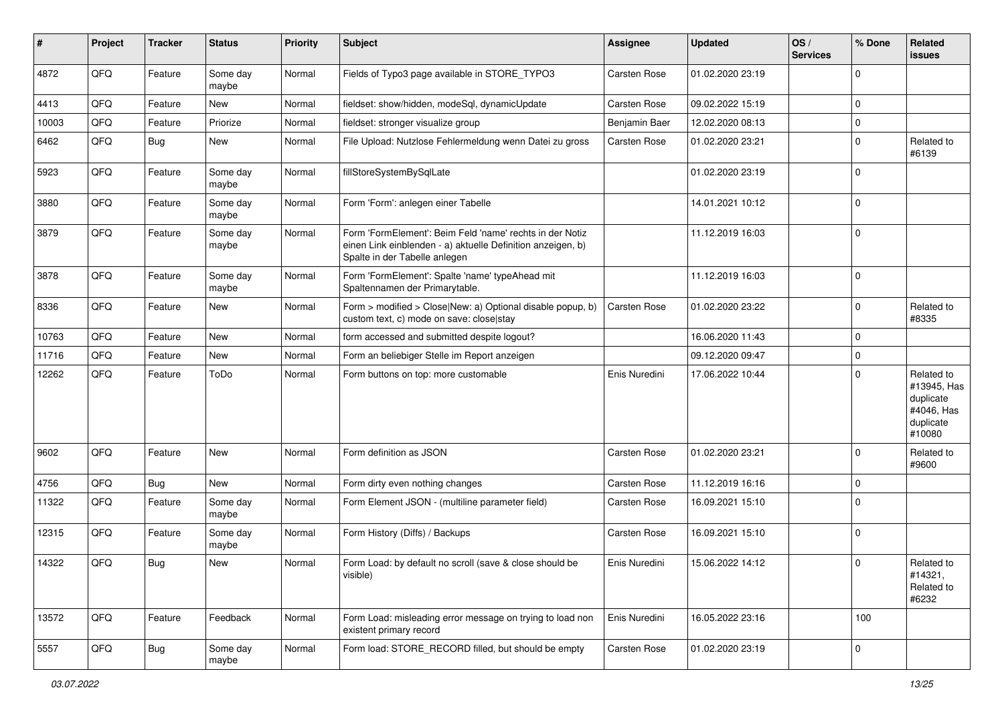| ∦     | Project | <b>Tracker</b> | <b>Status</b>     | <b>Priority</b> | <b>Subject</b>                                                                                                                                           | <b>Assignee</b>     | <b>Updated</b>   | OS/<br><b>Services</b> | % Done      | <b>Related</b><br><b>issues</b>                                             |
|-------|---------|----------------|-------------------|-----------------|----------------------------------------------------------------------------------------------------------------------------------------------------------|---------------------|------------------|------------------------|-------------|-----------------------------------------------------------------------------|
| 4872  | QFQ     | Feature        | Some day<br>maybe | Normal          | Fields of Typo3 page available in STORE_TYPO3                                                                                                            | Carsten Rose        | 01.02.2020 23:19 |                        | $\pmb{0}$   |                                                                             |
| 4413  | QFQ     | Feature        | New               | Normal          | fieldset: show/hidden, modeSql, dynamicUpdate                                                                                                            | Carsten Rose        | 09.02.2022 15:19 |                        | $\mathbf 0$ |                                                                             |
| 10003 | QFQ     | Feature        | Priorize          | Normal          | fieldset: stronger visualize group                                                                                                                       | Benjamin Baer       | 12.02.2020 08:13 |                        | $\mathbf 0$ |                                                                             |
| 6462  | QFQ     | Bug            | <b>New</b>        | Normal          | File Upload: Nutzlose Fehlermeldung wenn Datei zu gross                                                                                                  | Carsten Rose        | 01.02.2020 23:21 |                        | 0           | Related to<br>#6139                                                         |
| 5923  | QFQ     | Feature        | Some day<br>maybe | Normal          | fillStoreSystemBySqlLate                                                                                                                                 |                     | 01.02.2020 23:19 |                        | $\mathbf 0$ |                                                                             |
| 3880  | QFQ     | Feature        | Some day<br>maybe | Normal          | Form 'Form': anlegen einer Tabelle                                                                                                                       |                     | 14.01.2021 10:12 |                        | $\mathbf 0$ |                                                                             |
| 3879  | QFQ     | Feature        | Some day<br>maybe | Normal          | Form 'FormElement': Beim Feld 'name' rechts in der Notiz<br>einen Link einblenden - a) aktuelle Definition anzeigen, b)<br>Spalte in der Tabelle anlegen |                     | 11.12.2019 16:03 |                        | $\mathbf 0$ |                                                                             |
| 3878  | QFQ     | Feature        | Some day<br>maybe | Normal          | Form 'FormElement': Spalte 'name' typeAhead mit<br>Spaltennamen der Primarytable.                                                                        |                     | 11.12.2019 16:03 |                        | $\mathbf 0$ |                                                                             |
| 8336  | QFQ     | Feature        | <b>New</b>        | Normal          | Form > modified > Close New: a) Optional disable popup, b)<br>custom text, c) mode on save: closelstay                                                   | Carsten Rose        | 01.02.2020 23:22 |                        | $\mathbf 0$ | Related to<br>#8335                                                         |
| 10763 | QFQ     | Feature        | New               | Normal          | form accessed and submitted despite logout?                                                                                                              |                     | 16.06.2020 11:43 |                        | $\mathbf 0$ |                                                                             |
| 11716 | QFQ     | Feature        | New               | Normal          | Form an beliebiger Stelle im Report anzeigen                                                                                                             |                     | 09.12.2020 09:47 |                        | $\mathbf 0$ |                                                                             |
| 12262 | QFQ     | Feature        | ToDo              | Normal          | Form buttons on top: more customable                                                                                                                     | Enis Nuredini       | 17.06.2022 10:44 |                        | $\mathbf 0$ | Related to<br>#13945, Has<br>duplicate<br>#4046, Has<br>duplicate<br>#10080 |
| 9602  | QFQ     | Feature        | <b>New</b>        | Normal          | Form definition as JSON                                                                                                                                  | <b>Carsten Rose</b> | 01.02.2020 23:21 |                        | $\mathbf 0$ | Related to<br>#9600                                                         |
| 4756  | QFQ     | <b>Bug</b>     | New               | Normal          | Form dirty even nothing changes                                                                                                                          | Carsten Rose        | 11.12.2019 16:16 |                        | $\mathbf 0$ |                                                                             |
| 11322 | QFQ     | Feature        | Some day<br>maybe | Normal          | Form Element JSON - (multiline parameter field)                                                                                                          | Carsten Rose        | 16.09.2021 15:10 |                        | $\mathbf 0$ |                                                                             |
| 12315 | QFQ     | Feature        | Some day<br>maybe | Normal          | Form History (Diffs) / Backups                                                                                                                           | Carsten Rose        | 16.09.2021 15:10 |                        | $\mathbf 0$ |                                                                             |
| 14322 | QFQ     | Bug            | <b>New</b>        | Normal          | Form Load: by default no scroll (save & close should be<br>visible)                                                                                      | Enis Nuredini       | 15.06.2022 14:12 |                        | $\mathbf 0$ | Related to<br>#14321,<br>Related to<br>#6232                                |
| 13572 | QFQ     | Feature        | Feedback          | Normal          | Form Load: misleading error message on trying to load non<br>existent primary record                                                                     | Enis Nuredini       | 16.05.2022 23:16 |                        | 100         |                                                                             |
| 5557  | QFO     | i Bug          | Some day<br>maybe | Normal          | Form load: STORE_RECORD filled, but should be empty                                                                                                      | Carsten Rose        | 01.02.2020 23:19 |                        | $\mathsf 0$ |                                                                             |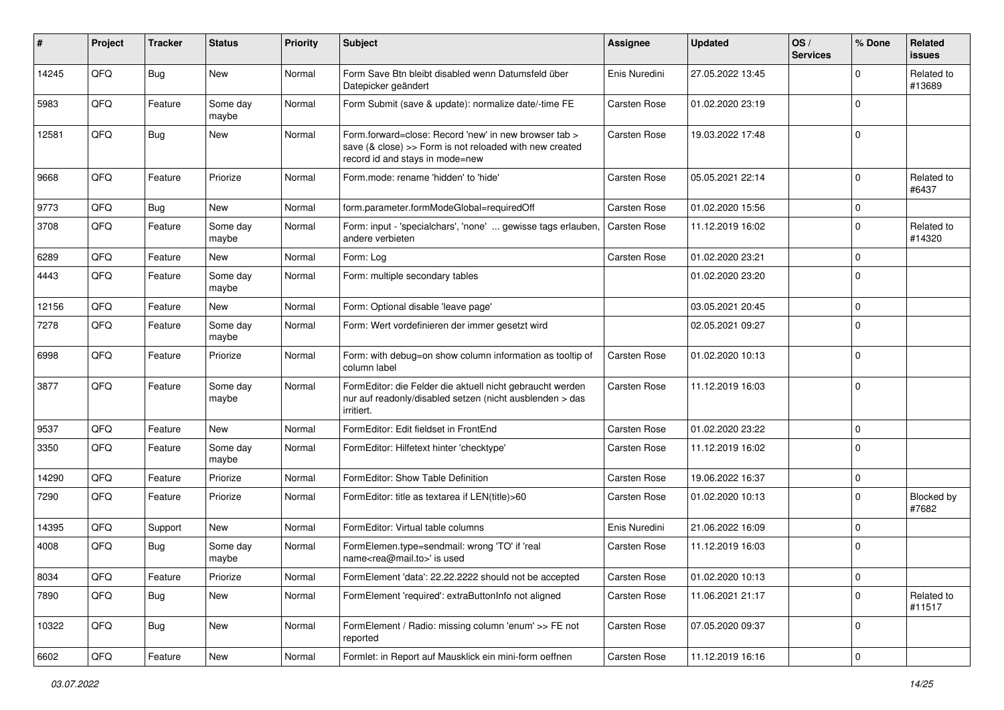| #     | Project | <b>Tracker</b> | <b>Status</b>     | <b>Priority</b> | Subject                                                                                                                                                       | <b>Assignee</b>     | <b>Updated</b>   | OS/<br><b>Services</b> | % Done      | Related<br><b>issues</b> |
|-------|---------|----------------|-------------------|-----------------|---------------------------------------------------------------------------------------------------------------------------------------------------------------|---------------------|------------------|------------------------|-------------|--------------------------|
| 14245 | QFQ     | <b>Bug</b>     | New               | Normal          | Form Save Btn bleibt disabled wenn Datumsfeld über<br>Datepicker geändert                                                                                     | Enis Nuredini       | 27.05.2022 13:45 |                        | O           | Related to<br>#13689     |
| 5983  | QFQ     | Feature        | Some day<br>maybe | Normal          | Form Submit (save & update): normalize date/-time FE                                                                                                          | Carsten Rose        | 01.02.2020 23:19 |                        | $\mathbf 0$ |                          |
| 12581 | QFQ     | Bug            | New               | Normal          | Form.forward=close: Record 'new' in new browser tab ><br>save $(8 \text{ close}) >>$ Form is not reloaded with new created<br>record id and stays in mode=new | Carsten Rose        | 19.03.2022 17:48 |                        | $\mathbf 0$ |                          |
| 9668  | QFQ     | Feature        | Priorize          | Normal          | Form.mode: rename 'hidden' to 'hide'                                                                                                                          | <b>Carsten Rose</b> | 05.05.2021 22:14 |                        | $\Omega$    | Related to<br>#6437      |
| 9773  | QFQ     | Bug            | New               | Normal          | form.parameter.formModeGlobal=requiredOff                                                                                                                     | Carsten Rose        | 01.02.2020 15:56 |                        | $\mathbf 0$ |                          |
| 3708  | QFQ     | Feature        | Some day<br>maybe | Normal          | Form: input - 'specialchars', 'none'  gewisse tags erlauben,<br>andere verbieten                                                                              | Carsten Rose        | 11.12.2019 16:02 |                        | $\Omega$    | Related to<br>#14320     |
| 6289  | QFQ     | Feature        | New               | Normal          | Form: Log                                                                                                                                                     | Carsten Rose        | 01.02.2020 23:21 |                        | $\mathbf 0$ |                          |
| 4443  | QFQ     | Feature        | Some day<br>maybe | Normal          | Form: multiple secondary tables                                                                                                                               |                     | 01.02.2020 23:20 |                        | $\mathbf 0$ |                          |
| 12156 | QFQ     | Feature        | New               | Normal          | Form: Optional disable 'leave page'                                                                                                                           |                     | 03.05.2021 20:45 |                        | $\Omega$    |                          |
| 7278  | QFQ     | Feature        | Some day<br>maybe | Normal          | Form: Wert vordefinieren der immer gesetzt wird                                                                                                               |                     | 02.05.2021 09:27 |                        | $\Omega$    |                          |
| 6998  | QFQ     | Feature        | Priorize          | Normal          | Form: with debug=on show column information as tooltip of<br>column label                                                                                     | Carsten Rose        | 01.02.2020 10:13 |                        | $\Omega$    |                          |
| 3877  | QFQ     | Feature        | Some day<br>maybe | Normal          | FormEditor: die Felder die aktuell nicht gebraucht werden<br>nur auf readonly/disabled setzen (nicht ausblenden > das<br>irritiert.                           | Carsten Rose        | 11.12.2019 16:03 |                        | $\mathbf 0$ |                          |
| 9537  | QFQ     | Feature        | <b>New</b>        | Normal          | FormEditor: Edit fieldset in FrontEnd                                                                                                                         | Carsten Rose        | 01.02.2020 23:22 |                        | $\mathbf 0$ |                          |
| 3350  | QFQ     | Feature        | Some day<br>maybe | Normal          | FormEditor: Hilfetext hinter 'checktype'                                                                                                                      | Carsten Rose        | 11.12.2019 16:02 |                        | $\mathbf 0$ |                          |
| 14290 | QFQ     | Feature        | Priorize          | Normal          | FormEditor: Show Table Definition                                                                                                                             | <b>Carsten Rose</b> | 19.06.2022 16:37 |                        | $\mathbf 0$ |                          |
| 7290  | QFQ     | Feature        | Priorize          | Normal          | FormEditor: title as textarea if LEN(title)>60                                                                                                                | Carsten Rose        | 01.02.2020 10:13 |                        | $\Omega$    | Blocked by<br>#7682      |
| 14395 | QFQ     | Support        | <b>New</b>        | Normal          | FormEditor: Virtual table columns                                                                                                                             | Enis Nuredini       | 21.06.2022 16:09 |                        | $\Omega$    |                          |
| 4008  | QFQ     | <b>Bug</b>     | Some day<br>maybe | Normal          | FormElemen.type=sendmail: wrong 'TO' if 'real<br>name <rea@mail.to>' is used</rea@mail.to>                                                                    | Carsten Rose        | 11.12.2019 16:03 |                        | $\mathbf 0$ |                          |
| 8034  | QFG     | Feature        | Priorize          | Normal          | FormElement 'data': 22.22.2222 should not be accepted                                                                                                         | Carsten Rose        | 01.02.2020 10:13 |                        | 0           |                          |
| 7890  | QFQ     | <b>Bug</b>     | New               | Normal          | FormElement 'required': extraButtonInfo not aligned                                                                                                           | Carsten Rose        | 11.06.2021 21:17 |                        | $\Omega$    | Related to<br>#11517     |
| 10322 | QFQ     | Bug            | New               | Normal          | FormElement / Radio: missing column 'enum' >> FE not<br>reported                                                                                              | Carsten Rose        | 07.05.2020 09:37 |                        | 0           |                          |
| 6602  | QFG     | Feature        | New               | Normal          | Formlet: in Report auf Mausklick ein mini-form oeffnen                                                                                                        | Carsten Rose        | 11.12.2019 16:16 |                        | $\mathbf 0$ |                          |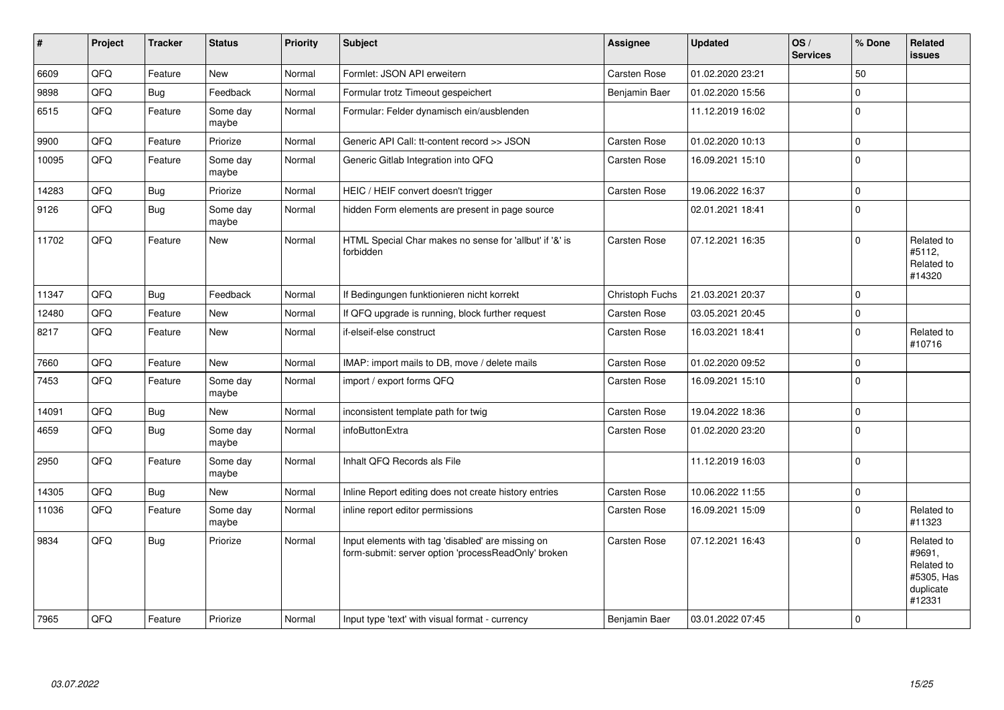| $\sharp$ | Project | <b>Tracker</b> | <b>Status</b>     | Priority | <b>Subject</b>                                                                                           | <b>Assignee</b>     | <b>Updated</b>   | OS/<br><b>Services</b> | % Done      | <b>Related</b><br><b>issues</b>                                         |
|----------|---------|----------------|-------------------|----------|----------------------------------------------------------------------------------------------------------|---------------------|------------------|------------------------|-------------|-------------------------------------------------------------------------|
| 6609     | QFQ     | Feature        | <b>New</b>        | Normal   | Formlet: JSON API erweitern                                                                              | Carsten Rose        | 01.02.2020 23:21 |                        | 50          |                                                                         |
| 9898     | QFQ     | Bug            | Feedback          | Normal   | Formular trotz Timeout gespeichert                                                                       | Benjamin Baer       | 01.02.2020 15:56 |                        | $\mathbf 0$ |                                                                         |
| 6515     | QFQ     | Feature        | Some day<br>maybe | Normal   | Formular: Felder dynamisch ein/ausblenden                                                                |                     | 11.12.2019 16:02 |                        | $\mathbf 0$ |                                                                         |
| 9900     | QFQ     | Feature        | Priorize          | Normal   | Generic API Call: tt-content record >> JSON                                                              | <b>Carsten Rose</b> | 01.02.2020 10:13 |                        | $\mathsf 0$ |                                                                         |
| 10095    | QFQ     | Feature        | Some day<br>maybe | Normal   | Generic Gitlab Integration into QFQ                                                                      | Carsten Rose        | 16.09.2021 15:10 |                        | $\mathbf 0$ |                                                                         |
| 14283    | QFQ     | Bug            | Priorize          | Normal   | HEIC / HEIF convert doesn't trigger                                                                      | <b>Carsten Rose</b> | 19.06.2022 16:37 |                        | $\mathsf 0$ |                                                                         |
| 9126     | QFQ     | Bug            | Some day<br>maybe | Normal   | hidden Form elements are present in page source                                                          |                     | 02.01.2021 18:41 |                        | $\mathbf 0$ |                                                                         |
| 11702    | QFQ     | Feature        | <b>New</b>        | Normal   | HTML Special Char makes no sense for 'allbut' if '&' is<br>forbidden                                     | Carsten Rose        | 07.12.2021 16:35 |                        | $\Omega$    | Related to<br>#5112.<br>Related to<br>#14320                            |
| 11347    | QFQ     | Bug            | Feedback          | Normal   | If Bedingungen funktionieren nicht korrekt                                                               | Christoph Fuchs     | 21.03.2021 20:37 |                        | $\mathbf 0$ |                                                                         |
| 12480    | QFQ     | Feature        | New               | Normal   | If QFQ upgrade is running, block further request                                                         | Carsten Rose        | 03.05.2021 20:45 |                        | $\mathbf 0$ |                                                                         |
| 8217     | QFQ     | Feature        | <b>New</b>        | Normal   | if-elseif-else construct                                                                                 | Carsten Rose        | 16.03.2021 18:41 |                        | $\mathbf 0$ | Related to<br>#10716                                                    |
| 7660     | QFQ     | Feature        | <b>New</b>        | Normal   | IMAP: import mails to DB, move / delete mails                                                            | <b>Carsten Rose</b> | 01.02.2020 09:52 |                        | $\mathbf 0$ |                                                                         |
| 7453     | QFQ     | Feature        | Some day<br>maybe | Normal   | import / export forms QFQ                                                                                | Carsten Rose        | 16.09.2021 15:10 |                        | $\pmb{0}$   |                                                                         |
| 14091    | QFQ     | Bug            | <b>New</b>        | Normal   | inconsistent template path for twig                                                                      | Carsten Rose        | 19.04.2022 18:36 |                        | $\mathbf 0$ |                                                                         |
| 4659     | QFQ     | Bug            | Some day<br>maybe | Normal   | infoButtonExtra                                                                                          | Carsten Rose        | 01.02.2020 23:20 |                        | $\mathbf 0$ |                                                                         |
| 2950     | QFQ     | Feature        | Some day<br>maybe | Normal   | Inhalt QFQ Records als File                                                                              |                     | 11.12.2019 16:03 |                        | $\mathbf 0$ |                                                                         |
| 14305    | QFQ     | <b>Bug</b>     | <b>New</b>        | Normal   | Inline Report editing does not create history entries                                                    | <b>Carsten Rose</b> | 10.06.2022 11:55 |                        | $\mathbf 0$ |                                                                         |
| 11036    | QFQ     | Feature        | Some day<br>maybe | Normal   | inline report editor permissions                                                                         | Carsten Rose        | 16.09.2021 15:09 |                        | $\mathbf 0$ | Related to<br>#11323                                                    |
| 9834     | QFQ     | Bug            | Priorize          | Normal   | Input elements with tag 'disabled' are missing on<br>form-submit: server option 'processReadOnly' broken | Carsten Rose        | 07.12.2021 16:43 |                        | $\mathbf 0$ | Related to<br>#9691,<br>Related to<br>#5305, Has<br>duplicate<br>#12331 |
| 7965     | QFQ     | Feature        | Priorize          | Normal   | Input type 'text' with visual format - currency                                                          | Benjamin Baer       | 03.01.2022 07:45 |                        | $\mathbf 0$ |                                                                         |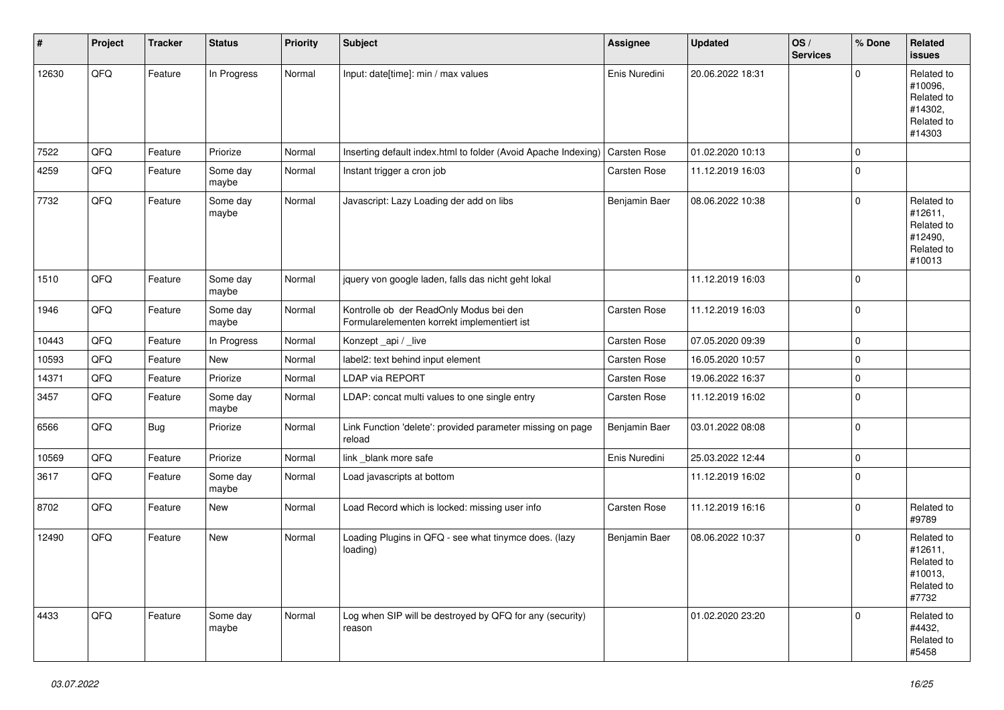| $\sharp$ | Project | <b>Tracker</b> | <b>Status</b>     | Priority | <b>Subject</b>                                                                         | <b>Assignee</b>     | <b>Updated</b>   | OS/<br><b>Services</b> | % Done      | Related<br><b>issues</b>                                               |
|----------|---------|----------------|-------------------|----------|----------------------------------------------------------------------------------------|---------------------|------------------|------------------------|-------------|------------------------------------------------------------------------|
| 12630    | QFQ     | Feature        | In Progress       | Normal   | Input: date[time]: min / max values                                                    | Enis Nuredini       | 20.06.2022 18:31 |                        | $\Omega$    | Related to<br>#10096,<br>Related to<br>#14302,<br>Related to<br>#14303 |
| 7522     | QFQ     | Feature        | Priorize          | Normal   | Inserting default index.html to folder (Avoid Apache Indexing)                         | <b>Carsten Rose</b> | 01.02.2020 10:13 |                        | $\mathbf 0$ |                                                                        |
| 4259     | QFQ     | Feature        | Some day<br>maybe | Normal   | Instant trigger a cron job                                                             | <b>Carsten Rose</b> | 11.12.2019 16:03 |                        | $\pmb{0}$   |                                                                        |
| 7732     | QFQ     | Feature        | Some day<br>maybe | Normal   | Javascript: Lazy Loading der add on libs                                               | Benjamin Baer       | 08.06.2022 10:38 |                        | $\mathbf 0$ | Related to<br>#12611,<br>Related to<br>#12490,<br>Related to<br>#10013 |
| 1510     | QFQ     | Feature        | Some day<br>maybe | Normal   | jquery von google laden, falls das nicht geht lokal                                    |                     | 11.12.2019 16:03 |                        | $\mathbf 0$ |                                                                        |
| 1946     | QFQ     | Feature        | Some day<br>maybe | Normal   | Kontrolle ob der ReadOnly Modus bei den<br>Formularelementen korrekt implementiert ist | Carsten Rose        | 11.12.2019 16:03 |                        | $\mathbf 0$ |                                                                        |
| 10443    | QFQ     | Feature        | In Progress       | Normal   | Konzept_api / _live                                                                    | Carsten Rose        | 07.05.2020 09:39 |                        | 0           |                                                                        |
| 10593    | QFQ     | Feature        | New               | Normal   | label2: text behind input element                                                      | Carsten Rose        | 16.05.2020 10:57 |                        | $\mathbf 0$ |                                                                        |
| 14371    | QFQ     | Feature        | Priorize          | Normal   | LDAP via REPORT                                                                        | Carsten Rose        | 19.06.2022 16:37 |                        | $\pmb{0}$   |                                                                        |
| 3457     | QFQ     | Feature        | Some day<br>maybe | Normal   | LDAP: concat multi values to one single entry                                          | Carsten Rose        | 11.12.2019 16:02 |                        | $\mathbf 0$ |                                                                        |
| 6566     | QFQ     | <b>Bug</b>     | Priorize          | Normal   | Link Function 'delete': provided parameter missing on page<br>reload                   | Benjamin Baer       | 03.01.2022 08:08 |                        | $\pmb{0}$   |                                                                        |
| 10569    | QFQ     | Feature        | Priorize          | Normal   | link _blank more safe                                                                  | Enis Nuredini       | 25.03.2022 12:44 |                        | $\pmb{0}$   |                                                                        |
| 3617     | QFQ     | Feature        | Some day<br>maybe | Normal   | Load javascripts at bottom                                                             |                     | 11.12.2019 16:02 |                        | $\mathbf 0$ |                                                                        |
| 8702     | QFQ     | Feature        | New               | Normal   | Load Record which is locked: missing user info                                         | Carsten Rose        | 11.12.2019 16:16 |                        | $\mathbf 0$ | Related to<br>#9789                                                    |
| 12490    | QFQ     | Feature        | New               | Normal   | Loading Plugins in QFQ - see what tinymce does. (lazy<br>loading)                      | Benjamin Baer       | 08.06.2022 10:37 |                        | $\mathbf 0$ | Related to<br>#12611,<br>Related to<br>#10013,<br>Related to<br>#7732  |
| 4433     | QFQ     | Feature        | Some day<br>maybe | Normal   | Log when SIP will be destroyed by QFQ for any (security)<br>reason                     |                     | 01.02.2020 23:20 |                        | $\mathbf 0$ | Related to<br>#4432,<br>Related to<br>#5458                            |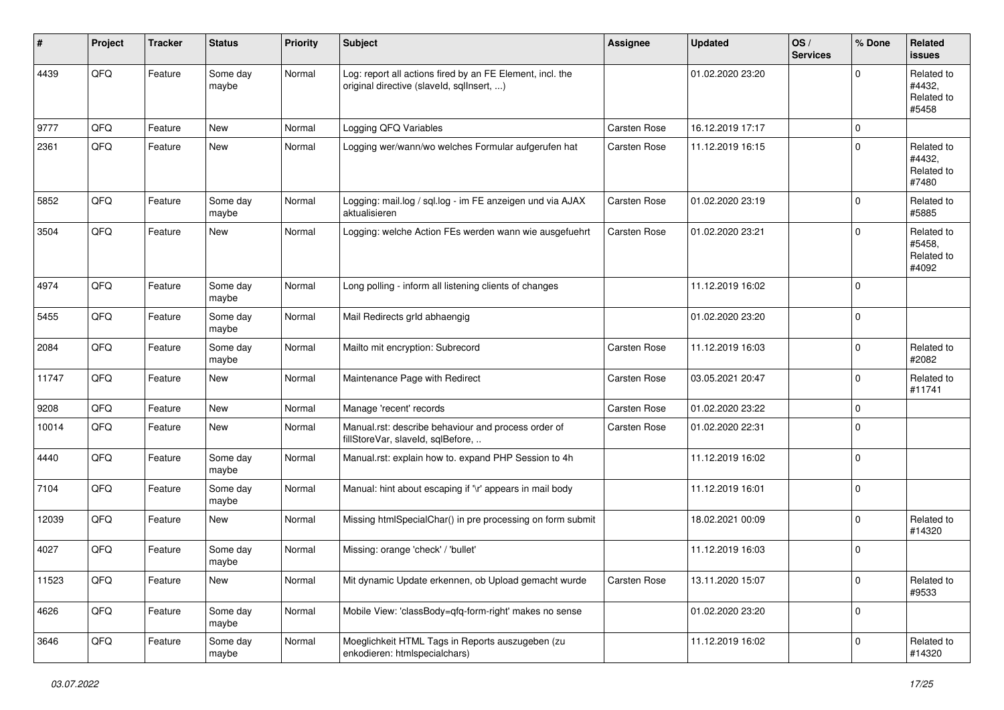| #     | Project | <b>Tracker</b> | <b>Status</b>     | Priority | <b>Subject</b>                                                                                         | <b>Assignee</b> | <b>Updated</b>   | OS/<br><b>Services</b> | % Done      | Related<br><b>issues</b>                    |
|-------|---------|----------------|-------------------|----------|--------------------------------------------------------------------------------------------------------|-----------------|------------------|------------------------|-------------|---------------------------------------------|
| 4439  | QFQ     | Feature        | Some day<br>maybe | Normal   | Log: report all actions fired by an FE Element, incl. the<br>original directive (slaveld, sqllnsert, ) |                 | 01.02.2020 23:20 |                        | $\Omega$    | Related to<br>#4432,<br>Related to<br>#5458 |
| 9777  | QFQ     | Feature        | New               | Normal   | Logging QFQ Variables                                                                                  | Carsten Rose    | 16.12.2019 17:17 |                        | $\mathbf 0$ |                                             |
| 2361  | QFQ     | Feature        | New               | Normal   | Logging wer/wann/wo welches Formular aufgerufen hat                                                    | Carsten Rose    | 11.12.2019 16:15 |                        | $\mathbf 0$ | Related to<br>#4432.<br>Related to<br>#7480 |
| 5852  | QFQ     | Feature        | Some day<br>maybe | Normal   | Logging: mail.log / sql.log - im FE anzeigen und via AJAX<br>aktualisieren                             | Carsten Rose    | 01.02.2020 23:19 |                        | $\mathbf 0$ | Related to<br>#5885                         |
| 3504  | QFQ     | Feature        | New               | Normal   | Logging: welche Action FEs werden wann wie ausgefuehrt                                                 | Carsten Rose    | 01.02.2020 23:21 |                        | $\Omega$    | Related to<br>#5458,<br>Related to<br>#4092 |
| 4974  | QFQ     | Feature        | Some day<br>maybe | Normal   | Long polling - inform all listening clients of changes                                                 |                 | 11.12.2019 16:02 |                        | $\mathbf 0$ |                                             |
| 5455  | QFQ     | Feature        | Some day<br>maybe | Normal   | Mail Redirects grld abhaengig                                                                          |                 | 01.02.2020 23:20 |                        | $\pmb{0}$   |                                             |
| 2084  | QFQ     | Feature        | Some day<br>maybe | Normal   | Mailto mit encryption: Subrecord                                                                       | Carsten Rose    | 11.12.2019 16:03 |                        | $\pmb{0}$   | Related to<br>#2082                         |
| 11747 | QFQ     | Feature        | <b>New</b>        | Normal   | Maintenance Page with Redirect                                                                         | Carsten Rose    | 03.05.2021 20:47 |                        | $\mathbf 0$ | Related to<br>#11741                        |
| 9208  | QFQ     | Feature        | <b>New</b>        | Normal   | Manage 'recent' records                                                                                | Carsten Rose    | 01.02.2020 23:22 |                        | $\pmb{0}$   |                                             |
| 10014 | QFQ     | Feature        | New               | Normal   | Manual.rst: describe behaviour and process order of<br>fillStoreVar, slaveId, sqlBefore,               | Carsten Rose    | 01.02.2020 22:31 |                        | $\Omega$    |                                             |
| 4440  | QFQ     | Feature        | Some day<br>maybe | Normal   | Manual.rst: explain how to. expand PHP Session to 4h                                                   |                 | 11.12.2019 16:02 |                        | $\mathbf 0$ |                                             |
| 7104  | QFQ     | Feature        | Some day<br>maybe | Normal   | Manual: hint about escaping if '\r' appears in mail body                                               |                 | 11.12.2019 16:01 |                        | $\pmb{0}$   |                                             |
| 12039 | QFQ     | Feature        | New               | Normal   | Missing htmlSpecialChar() in pre processing on form submit                                             |                 | 18.02.2021 00:09 |                        | $\pmb{0}$   | Related to<br>#14320                        |
| 4027  | QFQ     | Feature        | Some day<br>maybe | Normal   | Missing: orange 'check' / 'bullet'                                                                     |                 | 11.12.2019 16:03 |                        | $\mathbf 0$ |                                             |
| 11523 | QFQ     | Feature        | New               | Normal   | Mit dynamic Update erkennen, ob Upload gemacht wurde                                                   | Carsten Rose    | 13.11.2020 15:07 |                        | $\mathbf 0$ | Related to<br>#9533                         |
| 4626  | QFQ     | Feature        | Some day<br>maybe | Normal   | Mobile View: 'classBody=qfq-form-right' makes no sense                                                 |                 | 01.02.2020 23:20 |                        | $\pmb{0}$   |                                             |
| 3646  | QFQ     | Feature        | Some day<br>maybe | Normal   | Moeglichkeit HTML Tags in Reports auszugeben (zu<br>enkodieren: htmlspecialchars)                      |                 | 11.12.2019 16:02 |                        | $\mathbf 0$ | Related to<br>#14320                        |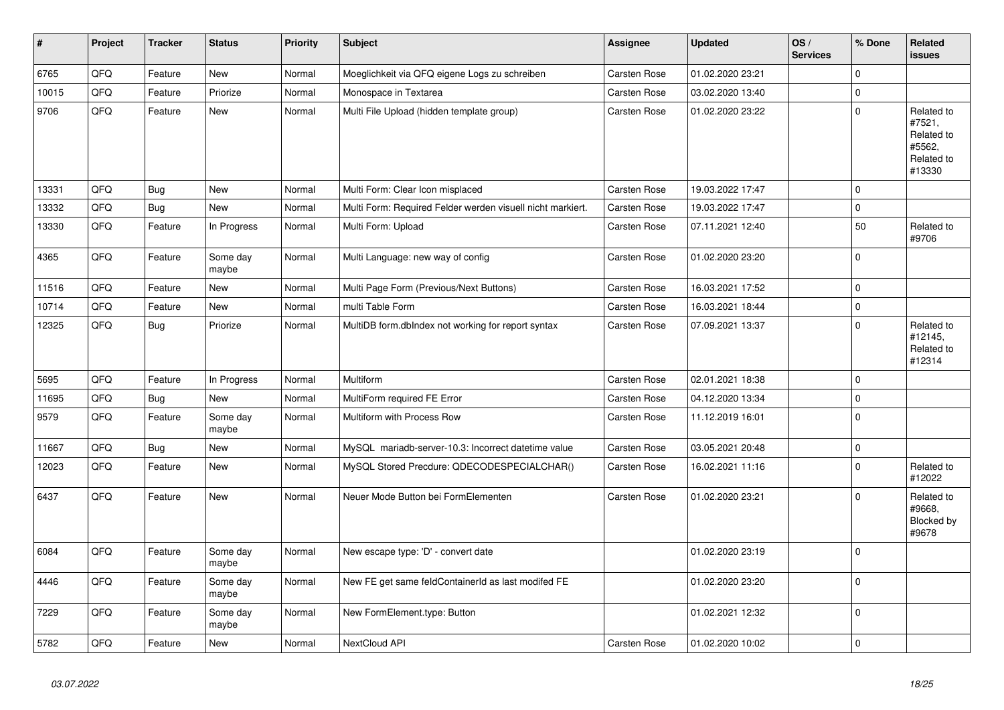| $\vert$ # | Project | <b>Tracker</b> | <b>Status</b>     | <b>Priority</b> | Subject                                                    | <b>Assignee</b> | <b>Updated</b>   | OS/<br><b>Services</b> | % Done       | <b>Related</b><br><b>issues</b>                                      |
|-----------|---------|----------------|-------------------|-----------------|------------------------------------------------------------|-----------------|------------------|------------------------|--------------|----------------------------------------------------------------------|
| 6765      | QFQ     | Feature        | <b>New</b>        | Normal          | Moeglichkeit via QFQ eigene Logs zu schreiben              | Carsten Rose    | 01.02.2020 23:21 |                        | $\mathbf 0$  |                                                                      |
| 10015     | QFQ     | Feature        | Priorize          | Normal          | Monospace in Textarea                                      | Carsten Rose    | 03.02.2020 13:40 |                        | $\mathbf 0$  |                                                                      |
| 9706      | QFO     | Feature        | <b>New</b>        | Normal          | Multi File Upload (hidden template group)                  | Carsten Rose    | 01.02.2020 23:22 |                        | $\mathbf 0$  | Related to<br>#7521,<br>Related to<br>#5562,<br>Related to<br>#13330 |
| 13331     | QFQ     | Bug            | <b>New</b>        | Normal          | Multi Form: Clear Icon misplaced                           | Carsten Rose    | 19.03.2022 17:47 |                        | $\mathsf 0$  |                                                                      |
| 13332     | QFQ     | <b>Bug</b>     | <b>New</b>        | Normal          | Multi Form: Required Felder werden visuell nicht markiert. | Carsten Rose    | 19.03.2022 17:47 |                        | $\pmb{0}$    |                                                                      |
| 13330     | QFO     | Feature        | In Progress       | Normal          | Multi Form: Upload                                         | Carsten Rose    | 07.11.2021 12:40 |                        | 50           | Related to<br>#9706                                                  |
| 4365      | QFQ     | Feature        | Some day<br>maybe | Normal          | Multi Language: new way of config                          | Carsten Rose    | 01.02.2020 23:20 |                        | $\mathbf 0$  |                                                                      |
| 11516     | QFQ     | Feature        | <b>New</b>        | Normal          | Multi Page Form (Previous/Next Buttons)                    | Carsten Rose    | 16.03.2021 17:52 |                        | $\mathsf 0$  |                                                                      |
| 10714     | QFQ     | Feature        | <b>New</b>        | Normal          | multi Table Form                                           | Carsten Rose    | 16.03.2021 18:44 |                        | $\mathsf 0$  |                                                                      |
| 12325     | QFQ     | <b>Bug</b>     | Priorize          | Normal          | MultiDB form.dbIndex not working for report syntax         | Carsten Rose    | 07.09.2021 13:37 |                        | $\mathbf 0$  | Related to<br>#12145,<br>Related to<br>#12314                        |
| 5695      | QFQ     | Feature        | In Progress       | Normal          | Multiform                                                  | Carsten Rose    | 02.01.2021 18:38 |                        | $\mathsf 0$  |                                                                      |
| 11695     | QFQ     | <b>Bug</b>     | <b>New</b>        | Normal          | MultiForm required FE Error                                | Carsten Rose    | 04.12.2020 13:34 |                        | $\mathsf 0$  |                                                                      |
| 9579      | QFQ     | Feature        | Some day<br>maybe | Normal          | Multiform with Process Row                                 | Carsten Rose    | 11.12.2019 16:01 |                        | $\mathbf 0$  |                                                                      |
| 11667     | QFQ     | <b>Bug</b>     | New               | Normal          | MySQL mariadb-server-10.3: Incorrect datetime value        | Carsten Rose    | 03.05.2021 20:48 |                        | $\mathbf{0}$ |                                                                      |
| 12023     | QFQ     | Feature        | <b>New</b>        | Normal          | MySQL Stored Precdure: QDECODESPECIALCHAR()                | Carsten Rose    | 16.02.2021 11:16 |                        | $\mathbf 0$  | Related to<br>#12022                                                 |
| 6437      | QFQ     | Feature        | <b>New</b>        | Normal          | Neuer Mode Button bei FormElementen                        | Carsten Rose    | 01.02.2020 23:21 |                        | $\Omega$     | Related to<br>#9668,<br>Blocked by<br>#9678                          |
| 6084      | QFQ     | Feature        | Some day<br>maybe | Normal          | New escape type: 'D' - convert date                        |                 | 01.02.2020 23:19 |                        | $\mathbf 0$  |                                                                      |
| 4446      | QFQ     | Feature        | Some day<br>maybe | Normal          | New FE get same feldContainerId as last modifed FE         |                 | 01.02.2020 23:20 |                        | $\mathsf 0$  |                                                                      |
| 7229      | QFQ     | Feature        | Some day<br>maybe | Normal          | New FormElement.type: Button                               |                 | 01.02.2021 12:32 |                        | $\mathbf 0$  |                                                                      |
| 5782      | QFQ     | Feature        | <b>New</b>        | Normal          | NextCloud API                                              | Carsten Rose    | 01.02.2020 10:02 |                        | $\pmb{0}$    |                                                                      |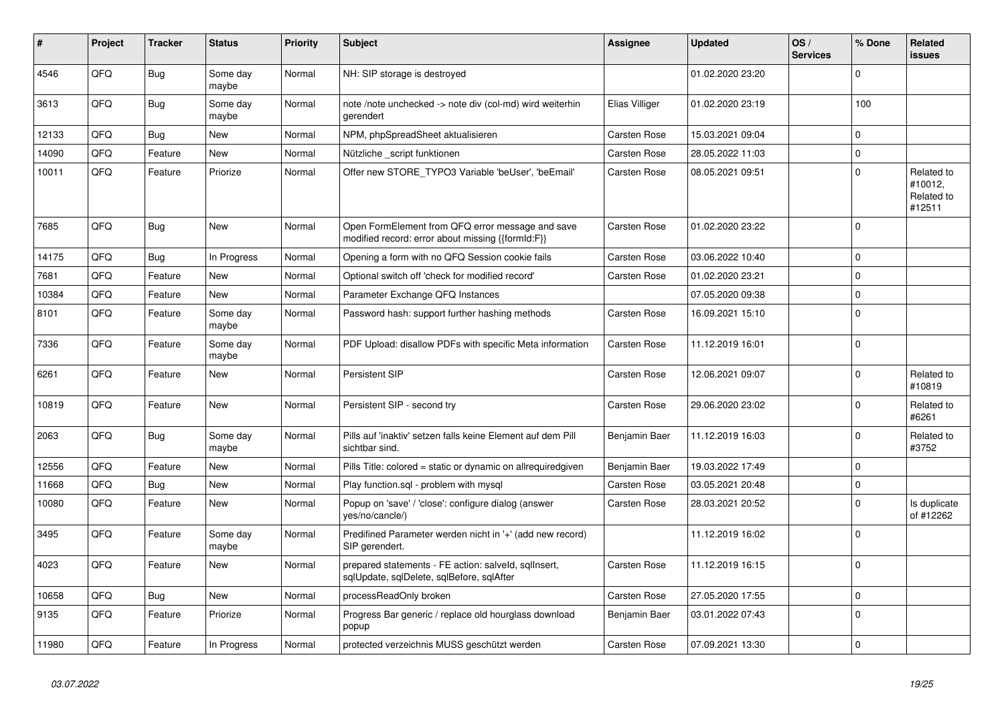| #     | Project | <b>Tracker</b> | <b>Status</b>     | <b>Priority</b> | <b>Subject</b>                                                                                        | <b>Assignee</b>     | <b>Updated</b>   | OS/<br><b>Services</b> | % Done      | Related<br><b>issues</b>                      |
|-------|---------|----------------|-------------------|-----------------|-------------------------------------------------------------------------------------------------------|---------------------|------------------|------------------------|-------------|-----------------------------------------------|
| 4546  | QFQ     | Bug            | Some day<br>maybe | Normal          | NH: SIP storage is destroyed                                                                          |                     | 01.02.2020 23:20 |                        | $\Omega$    |                                               |
| 3613  | QFQ     | Bug            | Some day<br>maybe | Normal          | note /note unchecked -> note div (col-md) wird weiterhin<br>gerendert                                 | Elias Villiger      | 01.02.2020 23:19 |                        | 100         |                                               |
| 12133 | QFQ     | <b>Bug</b>     | <b>New</b>        | Normal          | NPM, phpSpreadSheet aktualisieren                                                                     | Carsten Rose        | 15.03.2021 09:04 |                        | $\Omega$    |                                               |
| 14090 | QFQ     | Feature        | <b>New</b>        | Normal          | Nützliche _script funktionen                                                                          | Carsten Rose        | 28.05.2022 11:03 |                        | $\mathbf 0$ |                                               |
| 10011 | QFQ     | Feature        | Priorize          | Normal          | Offer new STORE_TYPO3 Variable 'beUser', 'beEmail'                                                    | Carsten Rose        | 08.05.2021 09:51 |                        | $\mathbf 0$ | Related to<br>#10012,<br>Related to<br>#12511 |
| 7685  | QFQ     | Bug            | <b>New</b>        | Normal          | Open FormElement from QFQ error message and save<br>modified record: error about missing {{formId:F}} | Carsten Rose        | 01.02.2020 23:22 |                        | $\Omega$    |                                               |
| 14175 | QFQ     | Bug            | In Progress       | Normal          | Opening a form with no QFQ Session cookie fails                                                       | Carsten Rose        | 03.06.2022 10:40 |                        | $\mathbf 0$ |                                               |
| 7681  | QFQ     | Feature        | New               | Normal          | Optional switch off 'check for modified record'                                                       | Carsten Rose        | 01.02.2020 23:21 |                        | $\mathbf 0$ |                                               |
| 10384 | QFQ     | Feature        | <b>New</b>        | Normal          | Parameter Exchange QFQ Instances                                                                      |                     | 07.05.2020 09:38 |                        | $\mathbf 0$ |                                               |
| 8101  | QFQ     | Feature        | Some day<br>maybe | Normal          | Password hash: support further hashing methods                                                        | Carsten Rose        | 16.09.2021 15:10 |                        | $\mathbf 0$ |                                               |
| 7336  | QFQ     | Feature        | Some day<br>maybe | Normal          | PDF Upload: disallow PDFs with specific Meta information                                              | Carsten Rose        | 11.12.2019 16:01 |                        | $\mathbf 0$ |                                               |
| 6261  | QFQ     | Feature        | <b>New</b>        | Normal          | Persistent SIP                                                                                        | Carsten Rose        | 12.06.2021 09:07 |                        | $\Omega$    | Related to<br>#10819                          |
| 10819 | QFQ     | Feature        | <b>New</b>        | Normal          | Persistent SIP - second try                                                                           | Carsten Rose        | 29.06.2020 23:02 |                        | $\mathbf 0$ | Related to<br>#6261                           |
| 2063  | QFQ     | Bug            | Some day<br>maybe | Normal          | Pills auf 'inaktiv' setzen falls keine Element auf dem Pill<br>sichtbar sind.                         | Benjamin Baer       | 11.12.2019 16:03 |                        | $\mathbf 0$ | Related to<br>#3752                           |
| 12556 | QFQ     | Feature        | New               | Normal          | Pills Title: colored = static or dynamic on allrequiredgiven                                          | Benjamin Baer       | 19.03.2022 17:49 |                        | $\mathbf 0$ |                                               |
| 11668 | QFQ     | Bug            | <b>New</b>        | Normal          | Play function.sql - problem with mysql                                                                | Carsten Rose        | 03.05.2021 20:48 |                        | $\mathbf 0$ |                                               |
| 10080 | QFQ     | Feature        | <b>New</b>        | Normal          | Popup on 'save' / 'close': configure dialog (answer<br>yes/no/cancle/)                                | <b>Carsten Rose</b> | 28.03.2021 20:52 |                        | $\Omega$    | Is duplicate<br>of #12262                     |
| 3495  | QFQ     | Feature        | Some day<br>maybe | Normal          | Predifined Parameter werden nicht in '+' (add new record)<br>SIP gerendert.                           |                     | 11.12.2019 16:02 |                        | $\mathbf 0$ |                                               |
| 4023  | QFQ     | Feature        | <b>New</b>        | Normal          | prepared statements - FE action: salveld, sqllnsert,<br>sqlUpdate, sqlDelete, sqlBefore, sqlAfter     | Carsten Rose        | 11.12.2019 16:15 |                        | $\mathbf 0$ |                                               |
| 10658 | QFQ     | Bug            | <b>New</b>        | Normal          | processReadOnly broken                                                                                | <b>Carsten Rose</b> | 27.05.2020 17:55 |                        | $\mathbf 0$ |                                               |
| 9135  | QFQ     | Feature        | Priorize          | Normal          | Progress Bar generic / replace old hourglass download<br>popup                                        | Benjamin Baer       | 03.01.2022 07:43 |                        | $\mathbf 0$ |                                               |
| 11980 | QFQ     | Feature        | In Progress       | Normal          | protected verzeichnis MUSS geschützt werden                                                           | <b>Carsten Rose</b> | 07.09.2021 13:30 |                        | $\Omega$    |                                               |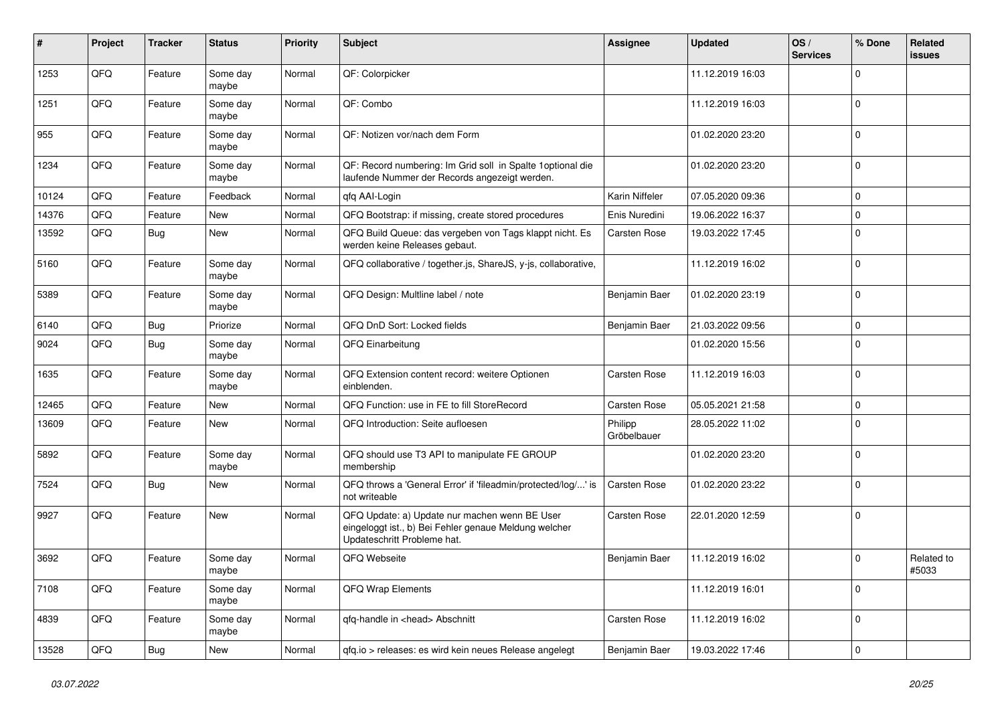| #     | Project | <b>Tracker</b> | <b>Status</b>     | <b>Priority</b> | Subject                                                                                                                               | <b>Assignee</b>        | <b>Updated</b>   | OS/<br><b>Services</b> | % Done      | Related<br><b>issues</b> |
|-------|---------|----------------|-------------------|-----------------|---------------------------------------------------------------------------------------------------------------------------------------|------------------------|------------------|------------------------|-------------|--------------------------|
| 1253  | QFQ     | Feature        | Some day<br>maybe | Normal          | QF: Colorpicker                                                                                                                       |                        | 11.12.2019 16:03 |                        | 0           |                          |
| 1251  | QFQ     | Feature        | Some day<br>maybe | Normal          | QF: Combo                                                                                                                             |                        | 11.12.2019 16:03 |                        | $\mathbf 0$ |                          |
| 955   | QFQ     | Feature        | Some day<br>maybe | Normal          | QF: Notizen vor/nach dem Form                                                                                                         |                        | 01.02.2020 23:20 |                        | $\Omega$    |                          |
| 1234  | QFQ     | Feature        | Some day<br>maybe | Normal          | QF: Record numbering: Im Grid soll in Spalte 1 optional die<br>laufende Nummer der Records angezeigt werden.                          |                        | 01.02.2020 23:20 |                        | $\mathbf 0$ |                          |
| 10124 | QFQ     | Feature        | Feedback          | Normal          | qfq AAI-Login                                                                                                                         | Karin Niffeler         | 07.05.2020 09:36 |                        | $\mathbf 0$ |                          |
| 14376 | QFQ     | Feature        | New               | Normal          | QFQ Bootstrap: if missing, create stored procedures                                                                                   | Enis Nuredini          | 19.06.2022 16:37 |                        | $\mathbf 0$ |                          |
| 13592 | QFQ     | Bug            | New               | Normal          | QFQ Build Queue: das vergeben von Tags klappt nicht. Es<br>werden keine Releases gebaut.                                              | Carsten Rose           | 19.03.2022 17:45 |                        | $\mathbf 0$ |                          |
| 5160  | QFQ     | Feature        | Some day<br>maybe | Normal          | QFQ collaborative / together.js, ShareJS, y-js, collaborative,                                                                        |                        | 11.12.2019 16:02 |                        | $\Omega$    |                          |
| 5389  | QFQ     | Feature        | Some day<br>maybe | Normal          | QFQ Design: Multline label / note                                                                                                     | Benjamin Baer          | 01.02.2020 23:19 |                        | $\Omega$    |                          |
| 6140  | QFQ     | <b>Bug</b>     | Priorize          | Normal          | QFQ DnD Sort: Locked fields                                                                                                           | Benjamin Baer          | 21.03.2022 09:56 |                        | $\mathbf 0$ |                          |
| 9024  | QFQ     | <b>Bug</b>     | Some day<br>maybe | Normal          | QFQ Einarbeitung                                                                                                                      |                        | 01.02.2020 15:56 |                        | $\Omega$    |                          |
| 1635  | QFQ     | Feature        | Some day<br>maybe | Normal          | QFQ Extension content record: weitere Optionen<br>einblenden.                                                                         | Carsten Rose           | 11.12.2019 16:03 |                        | $\mathbf 0$ |                          |
| 12465 | QFQ     | Feature        | New               | Normal          | QFQ Function: use in FE to fill StoreRecord                                                                                           | Carsten Rose           | 05.05.2021 21:58 |                        | $\mathbf 0$ |                          |
| 13609 | QFQ     | Feature        | <b>New</b>        | Normal          | QFQ Introduction: Seite aufloesen                                                                                                     | Philipp<br>Gröbelbauer | 28.05.2022 11:02 |                        | $\Omega$    |                          |
| 5892  | QFQ     | Feature        | Some day<br>maybe | Normal          | QFQ should use T3 API to manipulate FE GROUP<br>membership                                                                            |                        | 01.02.2020 23:20 |                        | $\Omega$    |                          |
| 7524  | QFQ     | <b>Bug</b>     | <b>New</b>        | Normal          | QFQ throws a 'General Error' if 'fileadmin/protected/log/' is<br>not writeable                                                        | Carsten Rose           | 01.02.2020 23:22 |                        | $\Omega$    |                          |
| 9927  | QFQ     | Feature        | <b>New</b>        | Normal          | QFQ Update: a) Update nur machen wenn BE User<br>eingeloggt ist., b) Bei Fehler genaue Meldung welcher<br>Updateschritt Probleme hat. | Carsten Rose           | 22.01.2020 12:59 |                        | $\mathbf 0$ |                          |
| 3692  | QFQ     | Feature        | Some day<br>maybe | Normal          | QFQ Webseite                                                                                                                          | Benjamin Baer          | 11.12.2019 16:02 |                        | $\Omega$    | Related to<br>#5033      |
| 7108  | QFQ     | Feature        | Some day<br>maybe | Normal          | QFQ Wrap Elements                                                                                                                     |                        | 11.12.2019 16:01 |                        | $\mathbf 0$ |                          |
| 4839  | QFQ     | Feature        | Some day<br>maybe | Normal          | qfq-handle in <head> Abschnitt</head>                                                                                                 | Carsten Rose           | 11.12.2019 16:02 |                        | $\mathbf 0$ |                          |
| 13528 | QFQ     | Bug            | New               | Normal          | qfq.io > releases: es wird kein neues Release angelegt                                                                                | Benjamin Baer          | 19.03.2022 17:46 |                        | $\mathbf 0$ |                          |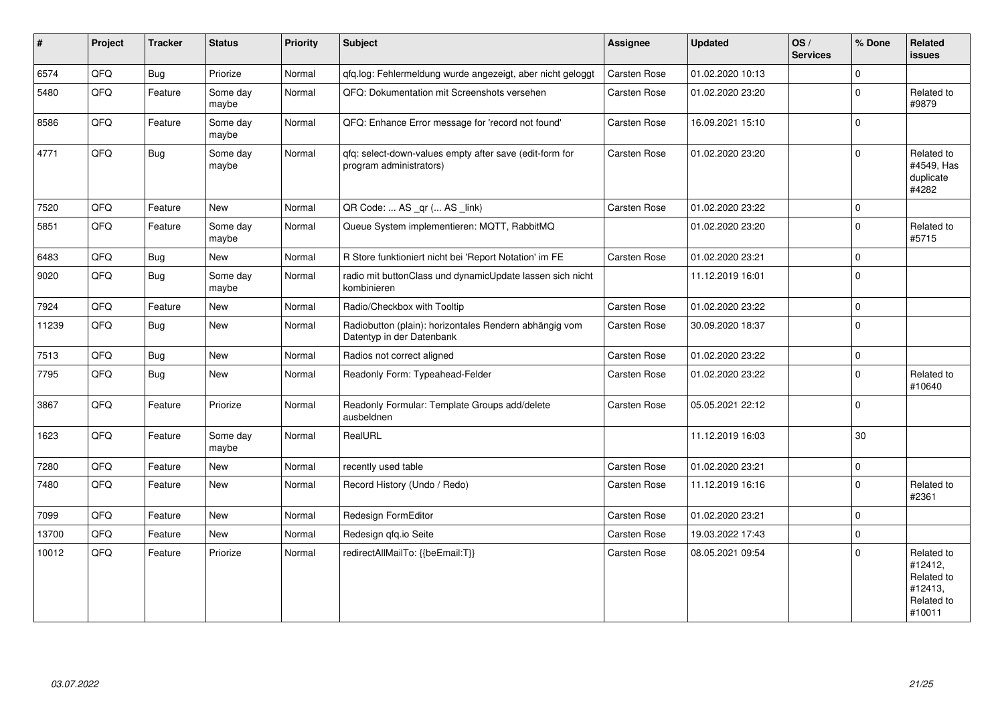| $\vert$ # | Project | <b>Tracker</b> | <b>Status</b>     | <b>Priority</b> | Subject                                                                             | Assignee            | <b>Updated</b>   | OS/<br><b>Services</b> | % Done      | Related<br><b>issues</b>                                               |
|-----------|---------|----------------|-------------------|-----------------|-------------------------------------------------------------------------------------|---------------------|------------------|------------------------|-------------|------------------------------------------------------------------------|
| 6574      | QFQ     | <b>Bug</b>     | Priorize          | Normal          | qfq.log: Fehlermeldung wurde angezeigt, aber nicht geloggt                          | Carsten Rose        | 01.02.2020 10:13 |                        | $\Omega$    |                                                                        |
| 5480      | QFQ     | Feature        | Some day<br>maybe | Normal          | QFQ: Dokumentation mit Screenshots versehen                                         | Carsten Rose        | 01.02.2020 23:20 |                        | $\mathbf 0$ | Related to<br>#9879                                                    |
| 8586      | QFQ     | Feature        | Some day<br>maybe | Normal          | QFQ: Enhance Error message for 'record not found'                                   | Carsten Rose        | 16.09.2021 15:10 |                        | $\mathbf 0$ |                                                                        |
| 4771      | QFQ     | <b>Bug</b>     | Some day<br>maybe | Normal          | qfq: select-down-values empty after save (edit-form for<br>program administrators)  | <b>Carsten Rose</b> | 01.02.2020 23:20 |                        | $\Omega$    | Related to<br>#4549, Has<br>duplicate<br>#4282                         |
| 7520      | QFQ     | Feature        | <b>New</b>        | Normal          | QR Code:  AS _qr ( AS _link)                                                        | Carsten Rose        | 01.02.2020 23:22 |                        | $\mathbf 0$ |                                                                        |
| 5851      | QFQ     | Feature        | Some day<br>maybe | Normal          | Queue System implementieren: MQTT, RabbitMQ                                         |                     | 01.02.2020 23:20 |                        | $\mathbf 0$ | Related to<br>#5715                                                    |
| 6483      | QFQ     | <b>Bug</b>     | <b>New</b>        | Normal          | R Store funktioniert nicht bei 'Report Notation' im FE                              | Carsten Rose        | 01.02.2020 23:21 |                        | $\mathbf 0$ |                                                                        |
| 9020      | QFQ     | Bug            | Some day<br>maybe | Normal          | radio mit buttonClass und dynamicUpdate lassen sich nicht<br>kombinieren            |                     | 11.12.2019 16:01 |                        | $\mathbf 0$ |                                                                        |
| 7924      | QFQ     | Feature        | <b>New</b>        | Normal          | Radio/Checkbox with Tooltip                                                         | Carsten Rose        | 01.02.2020 23:22 |                        | $\mathsf 0$ |                                                                        |
| 11239     | QFQ     | <b>Bug</b>     | <b>New</b>        | Normal          | Radiobutton (plain): horizontales Rendern abhängig vom<br>Datentyp in der Datenbank | Carsten Rose        | 30.09.2020 18:37 |                        | $\mathbf 0$ |                                                                        |
| 7513      | QFQ     | <b>Bug</b>     | <b>New</b>        | Normal          | Radios not correct aligned                                                          | Carsten Rose        | 01.02.2020 23:22 |                        | $\mathbf 0$ |                                                                        |
| 7795      | QFQ     | <b>Bug</b>     | <b>New</b>        | Normal          | Readonly Form: Typeahead-Felder                                                     | Carsten Rose        | 01.02.2020 23:22 |                        | $\mathbf 0$ | Related to<br>#10640                                                   |
| 3867      | QFQ     | Feature        | Priorize          | Normal          | Readonly Formular: Template Groups add/delete<br>ausbeldnen                         | Carsten Rose        | 05.05.2021 22:12 |                        | $\mathbf 0$ |                                                                        |
| 1623      | QFQ     | Feature        | Some day<br>maybe | Normal          | RealURL                                                                             |                     | 11.12.2019 16:03 |                        | 30          |                                                                        |
| 7280      | QFQ     | Feature        | <b>New</b>        | Normal          | recently used table                                                                 | Carsten Rose        | 01.02.2020 23:21 |                        | $\mathbf 0$ |                                                                        |
| 7480      | QFQ     | Feature        | <b>New</b>        | Normal          | Record History (Undo / Redo)                                                        | Carsten Rose        | 11.12.2019 16:16 |                        | $\mathbf 0$ | Related to<br>#2361                                                    |
| 7099      | QFQ     | Feature        | <b>New</b>        | Normal          | Redesign FormEditor                                                                 | Carsten Rose        | 01.02.2020 23:21 |                        | $\mathbf 0$ |                                                                        |
| 13700     | QFQ     | Feature        | <b>New</b>        | Normal          | Redesign gfg.io Seite                                                               | Carsten Rose        | 19.03.2022 17:43 |                        | $\mathbf 0$ |                                                                        |
| 10012     | QFQ     | Feature        | Priorize          | Normal          | redirectAllMailTo: {{beEmail:T}}                                                    | Carsten Rose        | 08.05.2021 09:54 |                        | $\mathbf 0$ | Related to<br>#12412,<br>Related to<br>#12413,<br>Related to<br>#10011 |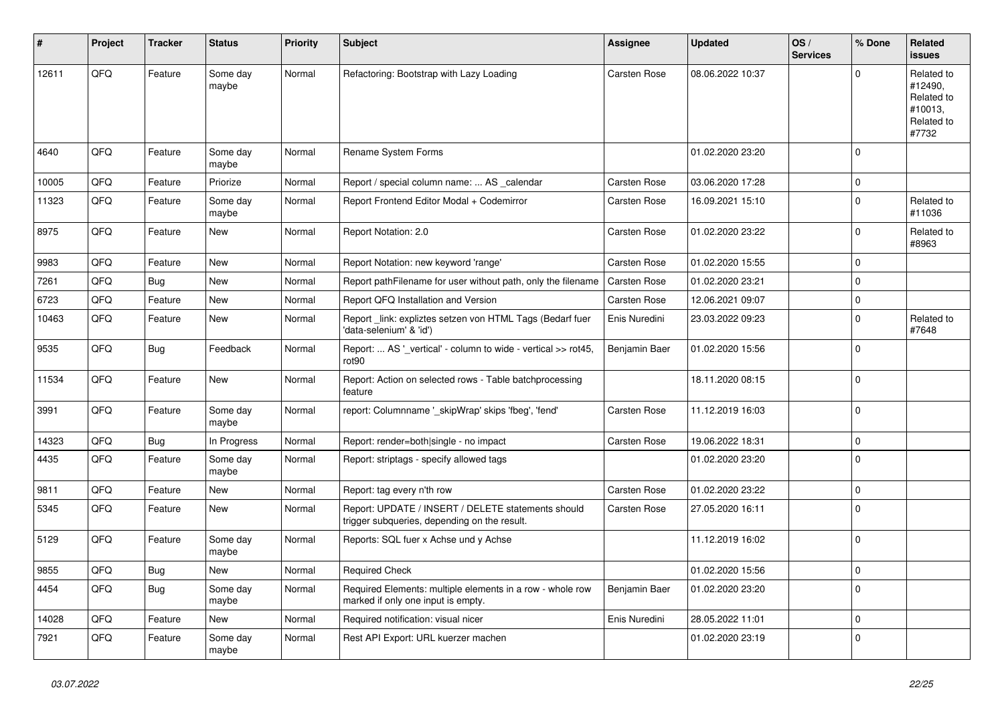| ∦     | Project | <b>Tracker</b> | <b>Status</b>     | <b>Priority</b> | <b>Subject</b>                                                                                     | <b>Assignee</b>     | <b>Updated</b>   | OS/<br><b>Services</b> | % Done      | Related<br><b>issues</b>                                              |
|-------|---------|----------------|-------------------|-----------------|----------------------------------------------------------------------------------------------------|---------------------|------------------|------------------------|-------------|-----------------------------------------------------------------------|
| 12611 | QFQ     | Feature        | Some day<br>maybe | Normal          | Refactoring: Bootstrap with Lazy Loading                                                           | <b>Carsten Rose</b> | 08.06.2022 10:37 |                        | $\Omega$    | Related to<br>#12490,<br>Related to<br>#10013,<br>Related to<br>#7732 |
| 4640  | QFQ     | Feature        | Some day<br>maybe | Normal          | Rename System Forms                                                                                |                     | 01.02.2020 23:20 |                        | $\Omega$    |                                                                       |
| 10005 | QFQ     | Feature        | Priorize          | Normal          | Report / special column name:  AS _calendar                                                        | <b>Carsten Rose</b> | 03.06.2020 17:28 |                        | $\mathbf 0$ |                                                                       |
| 11323 | QFQ     | Feature        | Some day<br>maybe | Normal          | Report Frontend Editor Modal + Codemirror                                                          | Carsten Rose        | 16.09.2021 15:10 |                        | $\Omega$    | Related to<br>#11036                                                  |
| 8975  | QFQ     | Feature        | New               | Normal          | Report Notation: 2.0                                                                               | Carsten Rose        | 01.02.2020 23:22 |                        | $\mathbf 0$ | Related to<br>#8963                                                   |
| 9983  | QFQ     | Feature        | New               | Normal          | Report Notation: new keyword 'range'                                                               | Carsten Rose        | 01.02.2020 15:55 |                        | $\Omega$    |                                                                       |
| 7261  | QFQ     | <b>Bug</b>     | New               | Normal          | Report pathFilename for user without path, only the filename                                       | <b>Carsten Rose</b> | 01.02.2020 23:21 |                        | $\Omega$    |                                                                       |
| 6723  | QFQ     | Feature        | <b>New</b>        | Normal          | Report QFQ Installation and Version                                                                | <b>Carsten Rose</b> | 12.06.2021 09:07 |                        | $\mathbf 0$ |                                                                       |
| 10463 | QFQ     | Feature        | New               | Normal          | Report link: expliztes setzen von HTML Tags (Bedarf fuer<br>'data-selenium' & 'id')                | Enis Nuredini       | 23.03.2022 09:23 |                        | $\Omega$    | Related to<br>#7648                                                   |
| 9535  | QFQ     | Bug            | Feedback          | Normal          | Report:  AS '_vertical' - column to wide - vertical >> rot45,<br>rot90                             | Benjamin Baer       | 01.02.2020 15:56 |                        | $\mathbf 0$ |                                                                       |
| 11534 | QFQ     | Feature        | New               | Normal          | Report: Action on selected rows - Table batchprocessing<br>feature                                 |                     | 18.11.2020 08:15 |                        | $\mathbf 0$ |                                                                       |
| 3991  | QFQ     | Feature        | Some day<br>maybe | Normal          | report: Columnname '_skipWrap' skips 'fbeg', 'fend'                                                | Carsten Rose        | 11.12.2019 16:03 |                        | $\Omega$    |                                                                       |
| 14323 | QFQ     | <b>Bug</b>     | In Progress       | Normal          | Report: render=both single - no impact                                                             | Carsten Rose        | 19.06.2022 18:31 |                        | $\mathbf 0$ |                                                                       |
| 4435  | QFQ     | Feature        | Some day<br>maybe | Normal          | Report: striptags - specify allowed tags                                                           |                     | 01.02.2020 23:20 |                        | $\Omega$    |                                                                       |
| 9811  | QFQ     | Feature        | <b>New</b>        | Normal          | Report: tag every n'th row                                                                         | Carsten Rose        | 01.02.2020 23:22 |                        | $\mathbf 0$ |                                                                       |
| 5345  | QFQ     | Feature        | New               | Normal          | Report: UPDATE / INSERT / DELETE statements should<br>trigger subqueries, depending on the result. | Carsten Rose        | 27.05.2020 16:11 |                        | $\mathbf 0$ |                                                                       |
| 5129  | QFQ     | Feature        | Some day<br>maybe | Normal          | Reports: SQL fuer x Achse und y Achse                                                              |                     | 11.12.2019 16:02 |                        | $\Omega$    |                                                                       |
| 9855  | QFQ     | <b>Bug</b>     | New               | Normal          | Required Check                                                                                     |                     | 01.02.2020 15:56 |                        | $\mathbf 0$ |                                                                       |
| 4454  | QFQ     | <b>Bug</b>     | Some day<br>maybe | Normal          | Required Elements: multiple elements in a row - whole row<br>marked if only one input is empty.    | Benjamin Baer       | 01.02.2020 23:20 |                        | $\Omega$    |                                                                       |
| 14028 | QFQ     | Feature        | New               | Normal          | Required notification: visual nicer                                                                | Enis Nuredini       | 28.05.2022 11:01 |                        | $\mathbf 0$ |                                                                       |
| 7921  | QFQ     | Feature        | Some day<br>maybe | Normal          | Rest API Export: URL kuerzer machen                                                                |                     | 01.02.2020 23:19 |                        | $\mathbf 0$ |                                                                       |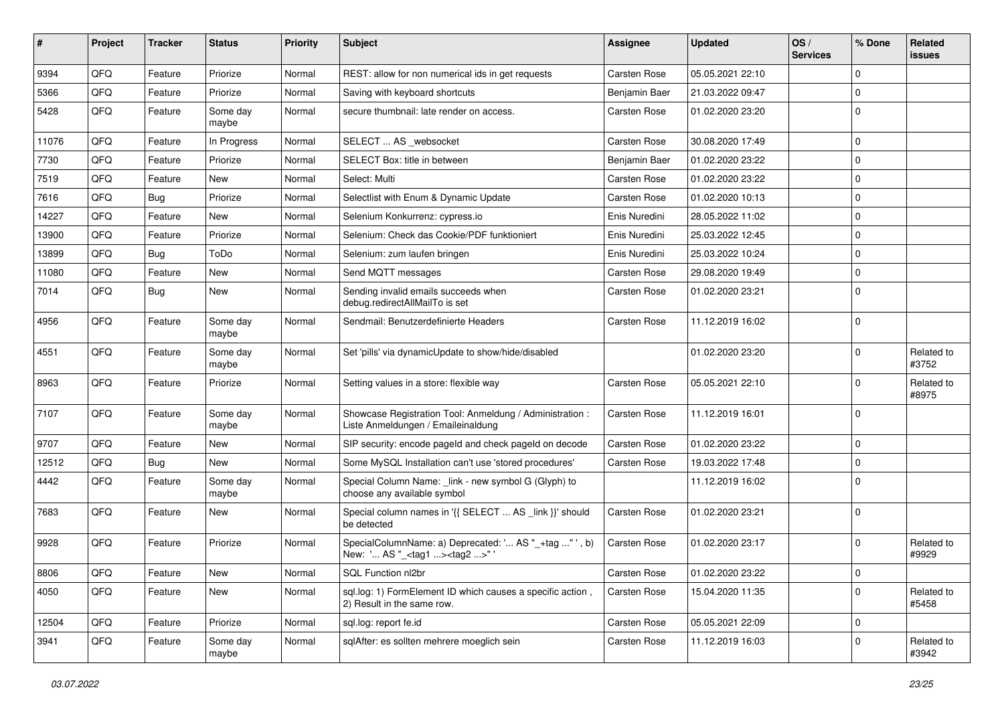| $\pmb{\#}$ | Project | <b>Tracker</b> | <b>Status</b>     | <b>Priority</b> | Subject                                                                                           | <b>Assignee</b> | <b>Updated</b>   | OS/<br><b>Services</b> | % Done      | Related<br><b>issues</b> |
|------------|---------|----------------|-------------------|-----------------|---------------------------------------------------------------------------------------------------|-----------------|------------------|------------------------|-------------|--------------------------|
| 9394       | QFQ     | Feature        | Priorize          | Normal          | REST: allow for non numerical ids in get requests                                                 | Carsten Rose    | 05.05.2021 22:10 |                        | $\Omega$    |                          |
| 5366       | QFQ     | Feature        | Priorize          | Normal          | Saving with keyboard shortcuts                                                                    | Benjamin Baer   | 21.03.2022 09:47 |                        | $\mathbf 0$ |                          |
| 5428       | QFQ     | Feature        | Some day<br>maybe | Normal          | secure thumbnail: late render on access.                                                          | Carsten Rose    | 01.02.2020 23:20 |                        | $\Omega$    |                          |
| 11076      | QFQ     | Feature        | In Progress       | Normal          | SELECT  AS _websocket                                                                             | Carsten Rose    | 30.08.2020 17:49 |                        | $\Omega$    |                          |
| 7730       | QFQ     | Feature        | Priorize          | Normal          | SELECT Box: title in between                                                                      | Benjamin Baer   | 01.02.2020 23:22 |                        | $\mathbf 0$ |                          |
| 7519       | QFQ     | Feature        | New               | Normal          | Select: Multi                                                                                     | Carsten Rose    | 01.02.2020 23:22 |                        | $\mathbf 0$ |                          |
| 7616       | QFQ     | Bug            | Priorize          | Normal          | Selectlist with Enum & Dynamic Update                                                             | Carsten Rose    | 01.02.2020 10:13 |                        | $\Omega$    |                          |
| 14227      | QFQ     | Feature        | New               | Normal          | Selenium Konkurrenz: cypress.io                                                                   | Enis Nuredini   | 28.05.2022 11:02 |                        | $\mathbf 0$ |                          |
| 13900      | QFQ     | Feature        | Priorize          | Normal          | Selenium: Check das Cookie/PDF funktioniert                                                       | Enis Nuredini   | 25.03.2022 12:45 |                        | $\mathbf 0$ |                          |
| 13899      | QFQ     | Bug            | ToDo              | Normal          | Selenium: zum laufen bringen                                                                      | Enis Nuredini   | 25.03.2022 10:24 |                        | $\mathbf 0$ |                          |
| 11080      | QFQ     | Feature        | <b>New</b>        | Normal          | Send MQTT messages                                                                                | Carsten Rose    | 29.08.2020 19:49 |                        | $\mathbf 0$ |                          |
| 7014       | QFQ     | Bug            | <b>New</b>        | Normal          | Sending invalid emails succeeds when<br>debug.redirectAllMailTo is set                            | Carsten Rose    | 01.02.2020 23:21 |                        | $\Omega$    |                          |
| 4956       | QFQ     | Feature        | Some day<br>maybe | Normal          | Sendmail: Benutzerdefinierte Headers                                                              | Carsten Rose    | 11.12.2019 16:02 |                        | l 0         |                          |
| 4551       | QFQ     | Feature        | Some day<br>maybe | Normal          | Set 'pills' via dynamicUpdate to show/hide/disabled                                               |                 | 01.02.2020 23:20 |                        | $\mathbf 0$ | Related to<br>#3752      |
| 8963       | QFQ     | Feature        | Priorize          | Normal          | Setting values in a store: flexible way                                                           | Carsten Rose    | 05.05.2021 22:10 |                        | $\Omega$    | Related to<br>#8975      |
| 7107       | QFQ     | Feature        | Some day<br>maybe | Normal          | Showcase Registration Tool: Anmeldung / Administration :<br>Liste Anmeldungen / Emaileinaldung    | Carsten Rose    | 11.12.2019 16:01 |                        | $\Omega$    |                          |
| 9707       | QFQ     | Feature        | New               | Normal          | SIP security: encode pageld and check pageld on decode                                            | Carsten Rose    | 01.02.2020 23:22 |                        | $\mathbf 0$ |                          |
| 12512      | QFQ     | Bug            | New               | Normal          | Some MySQL Installation can't use 'stored procedures'                                             | Carsten Rose    | 19.03.2022 17:48 |                        | $\mathbf 0$ |                          |
| 4442       | QFQ     | Feature        | Some day<br>maybe | Normal          | Special Column Name: _link - new symbol G (Glyph) to<br>choose any available symbol               |                 | 11.12.2019 16:02 |                        | $\Omega$    |                          |
| 7683       | QFQ     | Feature        | New               | Normal          | Special column names in '{{ SELECT  AS _link }}' should<br>be detected                            | Carsten Rose    | 01.02.2020 23:21 |                        | $\Omega$    |                          |
| 9928       | QFQ     | Feature        | Priorize          | Normal          | SpecialColumnName: a) Deprecated: ' AS "_+tag " ', b)<br>New: ' AS "_ <tag1><tag2>"</tag2></tag1> | Carsten Rose    | 01.02.2020 23:17 |                        | $\mathbf 0$ | Related to<br>#9929      |
| 8806       | QFQ     | Feature        | New               | Normal          | SQL Function nl2br                                                                                | Carsten Rose    | 01.02.2020 23:22 |                        | 0           |                          |
| 4050       | QFQ     | Feature        | New               | Normal          | sql.log: 1) FormElement ID which causes a specific action,<br>2) Result in the same row.          | Carsten Rose    | 15.04.2020 11:35 |                        | $\mathbf 0$ | Related to<br>#5458      |
| 12504      | QFQ     | Feature        | Priorize          | Normal          | sql.log: report fe.id                                                                             | Carsten Rose    | 05.05.2021 22:09 |                        | $\mathbf 0$ |                          |
| 3941       | QFQ     | Feature        | Some day<br>maybe | Normal          | sqlAfter: es sollten mehrere moeglich sein                                                        | Carsten Rose    | 11.12.2019 16:03 |                        | $\Omega$    | Related to<br>#3942      |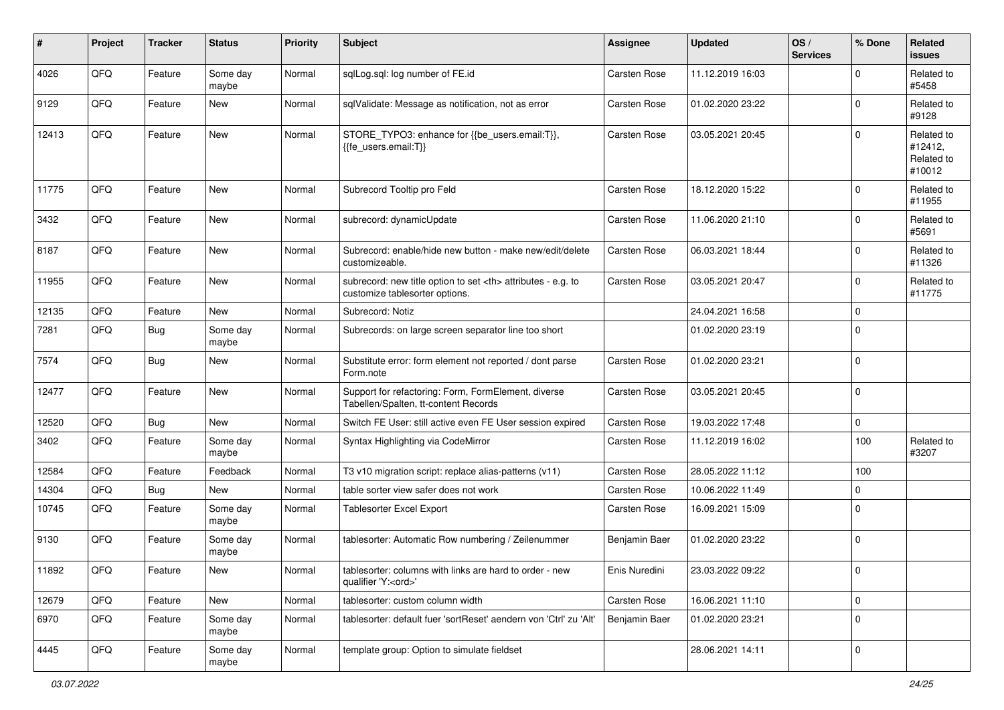| $\pmb{\#}$ | Project | <b>Tracker</b> | <b>Status</b>     | <b>Priority</b> | <b>Subject</b>                                                                                       | <b>Assignee</b>                                        | <b>Updated</b>   | OS/<br><b>Services</b> | % Done              | <b>Related</b><br><b>issues</b>               |                      |
|------------|---------|----------------|-------------------|-----------------|------------------------------------------------------------------------------------------------------|--------------------------------------------------------|------------------|------------------------|---------------------|-----------------------------------------------|----------------------|
| 4026       | QFQ     | Feature        | Some day<br>maybe | Normal          | sqlLog.sql: log number of FE.id                                                                      | Carsten Rose                                           | 11.12.2019 16:03 |                        | $\Omega$            | Related to<br>#5458                           |                      |
| 9129       | QFQ     | Feature        | New               | Normal          | sqlValidate: Message as notification, not as error                                                   | Carsten Rose                                           | 01.02.2020 23:22 |                        | $\mathbf 0$         | Related to<br>#9128                           |                      |
| 12413      | QFQ     | Feature        | <b>New</b>        | Normal          | STORE_TYPO3: enhance for {{be_users.email:T}},<br>{{fe users.email:T}}                               | Carsten Rose                                           | 03.05.2021 20:45 |                        | $\Omega$            | Related to<br>#12412,<br>Related to<br>#10012 |                      |
| 11775      | QFQ     | Feature        | <b>New</b>        | Normal          | Subrecord Tooltip pro Feld                                                                           | Carsten Rose                                           | 18.12.2020 15:22 |                        | $\mathbf 0$         | Related to<br>#11955                          |                      |
| 3432       | QFQ     | Feature        | <b>New</b>        | Normal          | subrecord: dynamicUpdate                                                                             | Carsten Rose                                           | 11.06.2020 21:10 |                        | $\mathbf 0$         | Related to<br>#5691                           |                      |
| 8187       | QFQ     | Feature        | New               | Normal          | Subrecord: enable/hide new button - make new/edit/delete<br>customizeable.                           | Carsten Rose                                           | 06.03.2021 18:44 |                        | $\mathbf 0$         | Related to<br>#11326                          |                      |
| 11955      | QFQ     | Feature        | New               | Normal          | subrecord: new title option to set <th> attributes - e.g. to<br/>customize tablesorter options.</th> | attributes - e.g. to<br>customize tablesorter options. | Carsten Rose     | 03.05.2021 20:47       |                     | $\mathbf 0$                                   | Related to<br>#11775 |
| 12135      | QFQ     | Feature        | New               | Normal          | Subrecord: Notiz                                                                                     |                                                        | 24.04.2021 16:58 |                        | $\mathbf 0$         |                                               |                      |
| 7281       | QFQ     | Bug            | Some day<br>maybe | Normal          | Subrecords: on large screen separator line too short                                                 |                                                        | 01.02.2020 23:19 |                        | $\mathbf 0$         |                                               |                      |
| 7574       | QFQ     | <b>Bug</b>     | <b>New</b>        | Normal          | Substitute error: form element not reported / dont parse<br>Form.note                                | Carsten Rose                                           | 01.02.2020 23:21 |                        | $\mathbf 0$         |                                               |                      |
| 12477      | QFQ     | Feature        | <b>New</b>        | Normal          | Support for refactoring: Form, FormElement, diverse<br>Tabellen/Spalten, tt-content Records          | Carsten Rose                                           | 03.05.2021 20:45 |                        | $\mathbf 0$         |                                               |                      |
| 12520      | QFQ     | Bug            | <b>New</b>        | Normal          | Switch FE User: still active even FE User session expired                                            | Carsten Rose                                           | 19.03.2022 17:48 |                        | $\mathbf 0$         |                                               |                      |
| 3402       | QFQ     | Feature        | Some day<br>maybe | Normal          | Syntax Highlighting via CodeMirror                                                                   | Carsten Rose                                           | 11.12.2019 16:02 |                        | 100                 | Related to<br>#3207                           |                      |
| 12584      | QFQ     | Feature        | Feedback          | Normal          | T3 v10 migration script: replace alias-patterns (v11)                                                | Carsten Rose                                           | 28.05.2022 11:12 |                        | 100                 |                                               |                      |
| 14304      | QFQ     | Bug            | New               | Normal          | table sorter view safer does not work                                                                | Carsten Rose                                           | 10.06.2022 11:49 |                        | $\mathbf 0$         |                                               |                      |
| 10745      | QFQ     | Feature        | Some day<br>maybe | Normal          | <b>Tablesorter Excel Export</b>                                                                      | Carsten Rose                                           | 16.09.2021 15:09 |                        | $\mathbf 0$         |                                               |                      |
| 9130       | QFQ     | Feature        | Some day<br>maybe | Normal          | tablesorter: Automatic Row numbering / Zeilenummer                                                   | Benjamin Baer                                          | 01.02.2020 23:22 |                        | $\mathbf 0$         |                                               |                      |
| 11892      | QFQ     | Feature        | New               | Normal          | tablesorter: columns with links are hard to order - new<br>qualifier 'Y: <ord>'</ord>                | Enis Nuredini                                          | 23.03.2022 09:22 |                        | $\mathsf 0$         |                                               |                      |
| 12679      | QFQ     | Feature        | New               | Normal          | tablesorter: custom column width                                                                     | Carsten Rose                                           | 16.06.2021 11:10 |                        | $\mathsf{O}\xspace$ |                                               |                      |
| 6970       | QFQ     | Feature        | Some day<br>maybe | Normal          | tablesorter: default fuer 'sortReset' aendern von 'Ctrl' zu 'Alt'                                    | Benjamin Baer                                          | 01.02.2020 23:21 |                        | $\mathbf 0$         |                                               |                      |
| 4445       | QFO     | Feature        | Some day<br>maybe | Normal          | template group: Option to simulate fieldset                                                          |                                                        | 28.06.2021 14:11 |                        | $\mathbf 0$         |                                               |                      |